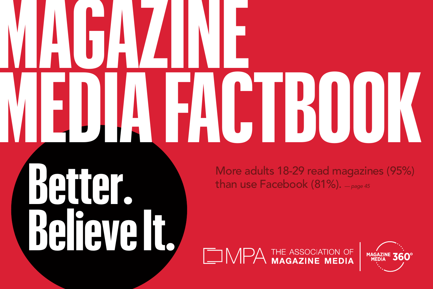# **MAGAZINE MEDIA FACTBOOK**

**than use Facebook** (81%). *— page 45* **Better. Believe It.**

More adults 18-29 read magazines (95%)

THE ASSOCIATION OF<br>MAGAZINE MEDIA

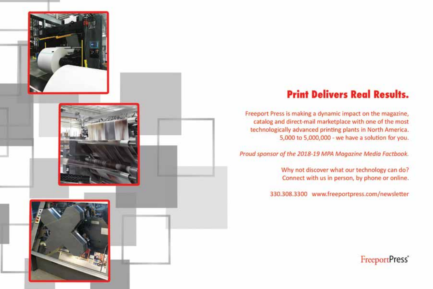

## **Print Delivers Real Results.**

Freeport Press is making a dynamic impact on the magazine, catalog and direct-mail marketplace with one of the most technologically advanced printing plants in North America. 5,000 to 5,000,000 - we have a solution for you.

Proud sponsor of the 2018-19 MPA Magazine Media Factbook.

Why not discover what our technology can do? Connect with us in person, by phone or online.

330.308.3300 www.freeportpress.com/newsletter

FreeportPress<sup>®</sup>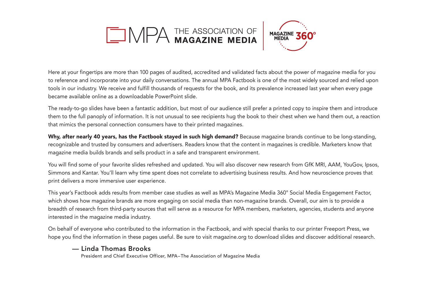# MPA THE ASSOCIATION OF



Here at your fingertips are more than 100 pages of audited, accredited and validated facts about the power of magazine media for you to reference and incorporate into your daily conversations. The annual MPA Factbook is one of the most widely sourced and relied upon tools in our industry. We receive and fulfill thousands of requests for the book, and its prevalence increased last year when every page became available online as a downloadable PowerPoint slide.

The ready-to-go slides have been a fantastic addition, but most of our audience still prefer a printed copy to inspire them and introduce them to the full panoply of information. It is not unusual to see recipients hug the book to their chest when we hand them out, a reaction that mimics the personal connection consumers have to their printed magazines.

Why, after nearly 40 years, has the Factbook stayed in such high demand? Because magazine brands continue to be long-standing, recognizable and trusted by consumers and advertisers. Readers know that the content in magazines is credible. Marketers know that magazine media builds brands and sells product in a safe and transparent environment.

You will find some of your favorite slides refreshed and updated. You will also discover new research from GfK MRI, AAM, YouGov, Ipsos, Simmons and Kantar. You'll learn why time spent does not correlate to advertising business results. And how neuroscience proves that print delivers a more immersive user experience.

This year's Factbook adds results from member case studies as well as MPA's Magazine Media 360° Social Media Engagement Factor, which shows how magazine brands are more engaging on social media than non-magazine brands. Overall, our aim is to provide a breadth of research from third-party sources that will serve as a resource for MPA members, marketers, agencies, students and anyone interested in the magazine media industry.

On behalf of everyone who contributed to the information in the Factbook, and with special thanks to our printer Freeport Press, we hope you find the information in these pages useful. Be sure to visit magazine.org to download slides and discover additional research.

— **Linda Thomas Brooks**<br>**President and Chief Executive Officer, MPA–The Association of Magazine Media**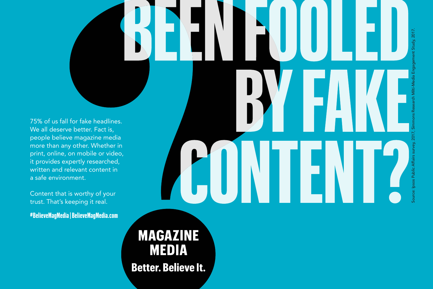75% of us fall for fake headlines. We all deserve better. Fact is, people believe magazine media more than any other. Whether in print, online, on mobile or video, it provides expertly researched, written and relevant content in a safe environment.

Content that is worthy of your trust. That's keeping it real.

**#BelieveMagMedia | BelieveMagMedia.com**

Source: Ipsos Public Affairs survey, 2017, Simmons Research Milti-Media Engagement Study, 2017.

**MAGAZINE MEDIA Better. Believe It.**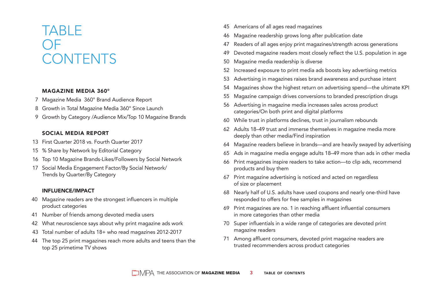## TABLE OF CONTENTS

#### MAGAZINE MEDIA 360°

- 7 Magazine Media 360° Brand Audience Report
- 8 Growth in Total Magazine Media 360° Since Launch
- 9 Growth by Category /Audience Mix/Top 10 Magazine Brands

#### SOCIAL MEDIA REPORT

- 13 First Quarter 2018 vs. Fourth Quarter 2017
- 15 % Share by Network by Editorial Category
- 16 Top 10 Magazine Brands-Likes/Followers by Social Network
- 17 Social Media Engagement Factor/By Social Network/ Trends by Quarter/By Category

#### INFLUENCE/IMPACT

- 40 Magazine readers are the strongest influencers in multiple product categories
- 41 Number of friends among devoted media users
- 42 What neuroscience says about why print magazine ads work
- 43 Total number of adults 18+ who read magazines 2012-2017
- 44 The top 25 print magazines reach more adults and teens than the top 25 primetime TV shows
- 45 Americans of all ages read magazines
- 46 Magazine readership grows long after publication date
- 47 Readers of all ages enjoy print magazines/strength across generations
- 49 Devoted magazine readers most closely reflect the U.S. population in age
- 50 Magazine media readership is diverse
- 52 Increased exposure to print media ads boosts key advertising metrics
- 53 Advertising in magazines raises brand awareness and purchase intent
- 54 Magazines show the highest return on advertising spend—the ultimate KPI
- 55 Magazine campaign drives conversions to branded prescription drugs
- 56 Advertising in magazine media increases sales across product categories/On both print and digital platforms
- 60 While trust in platforms declines, trust in journalism rebounds
- 62 Adults 18–49 trust and immerse themselves in magazine media more deeply than other media/Find inspiration
- 64 Magazine readers believe in brands—and are heavily swayed by advertising
- 65 Ads in magazine media engage adults 18–49 more than ads in other media
- 66 Print magazines inspire readers to take action—to clip ads, recommend products and buy them
- 67 Print magazine advertising is noticed and acted on regardless of size or placement
- 68 Nearly half of U.S. adults have used coupons and nearly one-third have responded to offers for free samples in magazines
- 69 Print magazines are no. 1 in reaching affluent influential consumers in more categories than other media
- 70 Super influentials in a wide range of categories are devoted print magazine readers
- 71 Among affluent consumers, devoted print magazine readers are trusted recommenders across product categories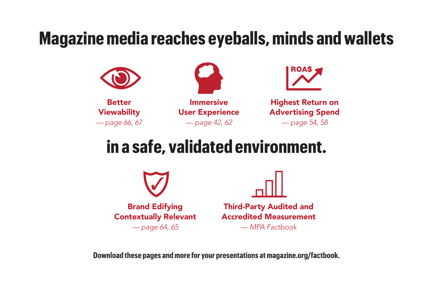# **Magazine media reaches eyeballs, minds and wallets**



# **in a safe, validated environment.**



**Download these pages and more for your presentations at magazine.org/factbook.**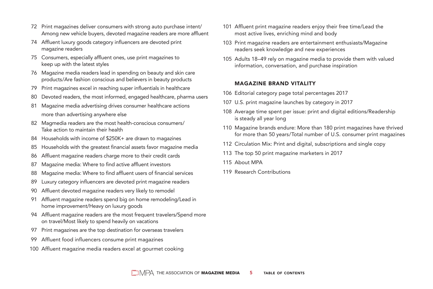- 72 Print magazines deliver consumers with strong auto purchase intent/ Among new vehicle buyers, devoted magazine readers are more affluent
- 74 Affluent luxury goods category influencers are devoted print magazine readers
- 75 Consumers, especially affluent ones, use print magazines to keep up with the latest styles
- 76 Magazine media readers lead in spending on beauty and skin care products/Are fashion conscious and believers in beauty products
- 79 Print magazines excel in reaching super influentials in healthcare
- 80 Devoted readers, the most informed, engaged healthcare, pharma users
- 81 Magazine media advertising drives consumer healthcare actions more than advertising anywhere else
- 82 Magmedia readers are the most health-conscious consumers/ Take action to maintain their health
- 84 Households with income of \$250K+ are drawn to magazines
- 85 Households with the greatest financial assets favor magazine media
- 86 Affluent magazine readers charge more to their credit cards
- 87 Magazine media: Where to find active affluent investors
- 88 Magazine media: Where to find affluent users of financial services
- 89 Luxury category influencers are devoted print magazine readers
- 90 Affluent devoted magazine readers very likely to remodel
- 91 Affluent magazine readers spend big on home remodeling/Lead in home improvement/Heavy on luxury goods
- 94 Affluent magazine readers are the most frequent travelers/Spend more on travel/Most likely to spend heavily on vacations
- 97 Print magazines are the top destination for overseas travelers
- 99 Affluent food influencers consume print magazines
- 100 Affluent magazine media readers excel at gourmet cooking
- 101 Affluent print magazine readers enjoy their free time/Lead the most active lives, enriching mind and body
- 103 Print magazine readers are entertainment enthusiasts/Magazine readers seek knowledge and new experiences
- 105 Adults 18–49 rely on magazine media to provide them with valued information, conversation, and purchase inspiration

#### MAGAZINE BRAND VITALITY

- 106 Editorial category page total percentages 2017
- 107 U.S. print magazine launches by category in 2017
- 108 Average time spent per issue: print and digital editions/Readership is steady all year long
- 110 Magazine brands endure: More than 180 print magazines have thrived for more than 50 years/Total number of U.S. consumer print magazines
- 112 Circulation Mix: Print and digital, subscriptions and single copy
- 113 The top 50 print magazine marketers in 2017
- 115 About MPA
- 119 Research Contributions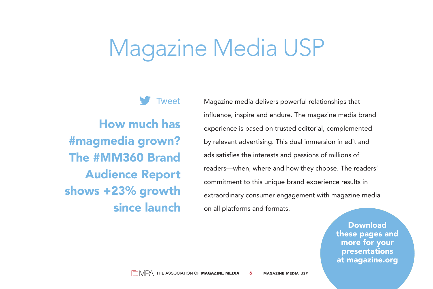# Magazine Media USP

**Tweet** 

How much has #magmedia grown? The #MM360 Brand Audience Report shows +23% growth since launch Magazine media delivers powerful relationships that influence, inspire and endure. The magazine media brand experience is based on trusted editorial, complemented by relevant advertising. This dual immersion in edit and ads satisfies the interests and passions of millions of readers—when, where and how they choose. The readers' commitment to this unique brand experience results in extraordinary consumer engagement with magazine media on all platforms and formats.

> Download these pages and more for your presentations at magazine.org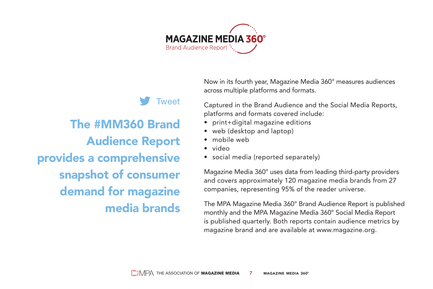

## Tweet The #MM360 Brand Audience Report provides a comprehensive snapshot of consumer demand for magazine media brands

Now in its fourth year, Magazine Media 360° measures audiences across multiple platforms and formats.

Captured in the Brand Audience and the Social Media Reports, platforms and formats covered include:

- print+digital magazine editions
- web (desktop and laptop)
- mobile web
- video
- social media (reported separately)

Magazine Media 360° uses data from leading third-party providers and covers approximately 120 magazine media brands from 27 companies, representing 95% of the reader universe.

The MPA Magazine Media 360° Brand Audience Report is published monthly and the MPA Magazine Media 360° Social Media Report is published quarterly. Both reports contain audience metrics by magazine brand and are available at www.magazine.org.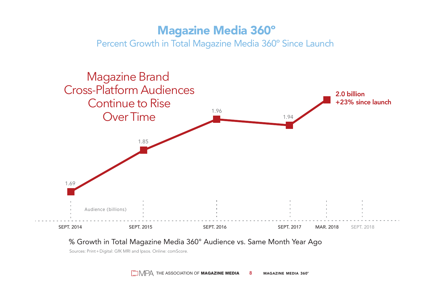## Magazine Media 360º

Percent Growth in Total Magazine Media 360º Since Launch



#### % Growth in Total Magazine Media 360° Audience vs. Same Month Year Ago

Sources: Print + Digital: GfK MRI and Ipsos. Online: comScore.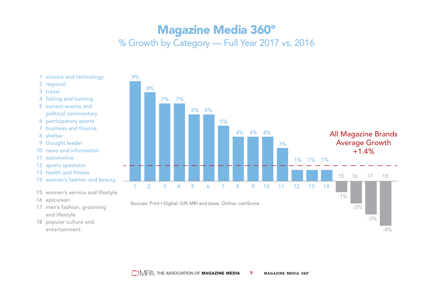## Magazine Media 360º

### % Growth by Category — Full Year 2017 vs. 2016

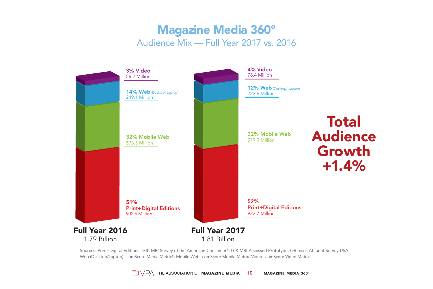## Magazine Media 360º Audience Mix — Full Year 2017 vs. 2016



Sources: Print+Digital Editions–GfK MRI Survey of the American Consumer®, GfK MRI Accessed Prototype, OR Ipsos Affluent Survey USA. Web (Desktop/Laptop)–comScore Media Metrix®. Mobile Web–comScore Mobile Metrix. Video–comScore Video Metrix.

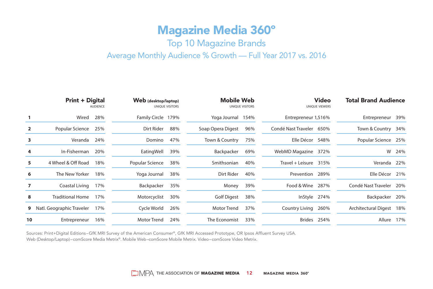## Magazine Media 360º

### Top 10 Magazine Brands

#### Average Monthly Audience % Growth — Full Year 2017 vs. 2016

|    | <b>Print + Digital</b><br><b>AUDIENCE</b> |     | Web (desktop/laptop)<br>UNIOUE VISITORS |     | <b>Mobile Web</b><br>UNIQUE VISITORS |      | Video<br>UNIQUE VIEWERS  |             | <b>Total Brand Audience</b> |     |
|----|-------------------------------------------|-----|-----------------------------------------|-----|--------------------------------------|------|--------------------------|-------------|-----------------------------|-----|
|    | Wired                                     | 28% | Family Circle 179%                      |     | Yoga Journal                         | 154% | Entrepreneur 1,516%      |             | Entrepreneur                | 39% |
|    | Popular Science                           | 25% | Dirt Rider                              | 88% | Soap Opera Digest                    | 96%  | Condé Nast Traveler 650% |             | Town & Country              | 34% |
| з  | Veranda                                   | 24% | Domino                                  | 47% | Town & Country                       | 75%  | Elle Décor 548%          |             | Popular Science             | 25% |
| 4  | In-Fisherman                              | 20% | EatingWell                              | 39% | Backpacker                           | 69%  | WebMD Magazine 372%      |             | W                           | 24% |
| 5  | 4 Wheel & Off Road                        | 18% | Popular Science                         | 38% | Smithsonian                          | 40%  | Travel + Leisure $315%$  |             | Veranda                     | 22% |
| 6  | The New Yorker                            | 18% | Yoga Journal                            | 38% | Dirt Rider                           | 40%  | Prevention 289%          |             | Elle Décor                  | 21% |
|    | Coastal Living                            | 17% | Backpacker                              | 35% | Money                                | 39%  | Food & Wine 287%         |             | Condé Nast Traveler         | 20% |
| 8  | <b>Traditional Home</b>                   | 17% | Motorcyclist                            | 30% | <b>Golf Digest</b>                   | 38%  | InStyle 274%             |             | Backpacker                  | 20% |
| 9  | Natl. Geographic Traveler                 | 17% | Cycle World                             | 26% | <b>Motor Trend</b>                   | 37%  | Country Living           | 260%        | <b>Architectural Digest</b> | 18% |
| 10 | Entrepreneur                              | 16% | Motor Trend                             | 24% | The Economist                        | 33%  |                          | Brides 254% | Allure                      | 17% |

Sources: Print+Digital Editions–GfK MRI Survey of the American Consumer®, GfK MRI Accessed Prototype, OR Ipsos Affluent Survey USA. Web (Desktop/Laptop)–comScore Media Metrix®. Mobile Web–comScore Mobile Metrix. Video–comScore Video Metrix.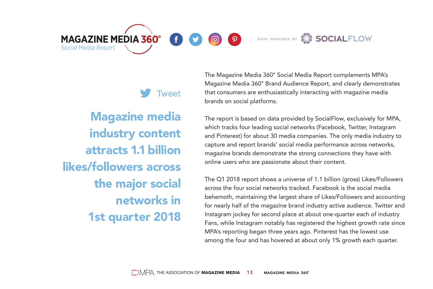**MAGAZINE MEDIA 360°** 

 $\varphi$ 

രി



Tweet

Magazine media industry content attracts 1.1 billion likes/followers across the major social networks in 1st quarter 2018

Social Media Report

The Magazine Media 360° Social Media Report complements MPA's Magazine Media 360° Brand Audience Report, and clearly demonstrates that consumers are enthusiastically interacting with magazine media brands on social platforms.

The report is based on data provided by SocialFlow, exclusively for MPA, which tracks four leading social networks (Facebook, Twitter, Instagram and Pinterest) for about 30 media companies. The only media industry to capture and report brands' social media performance across networks, magazine brands demonstrate the strong connections they have with online users who are passionate about their content.

The Q1 2018 report shows a universe of 1.1 billion (gross) Likes/Followers across the four social networks tracked. Facebook is the social media behemoth, maintaining the largest share of Likes/Followers and accounting for nearly half of the magazine brand industry active audience. Twitter and Instagram jockey for second place at about one-quarter each of industry Fans, while Instagram notably has registered the highest growth rate since MPA's reporting began three years ago. Pinterest has the lowest use among the four and has hovered at about only 1% growth each quarter.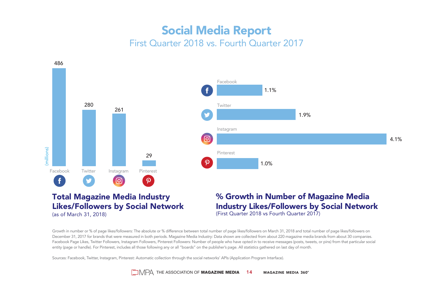## Social Media Report First Quarter 2018 vs. Fourth Quarter 2017



Growth in number or % of page likes/followers: The absolute or % difference between total number of page likes/followers on March 31, 2018 and total number of page likes/followers on December 31, 2017 for brands that were measured in both periods. Magazine Media Industry: Data shown are collected from about 220 magazine media brands from about 30 companies. Facebook Page Likes, Twitter Followers, Instagram Followers, Pinterest Followers: Number of people who have opted in to receive messages (posts, tweets, or pins) from that particular social entity (page or handle). For Pinterest, includes all those following any or all "boards" on the publisher's page. All statistics gathered on last day of month.

Sources: Facebook, Twitter, Instagram, Pinterest: Automatic collection through the social networks' APIs (Application Program Interface).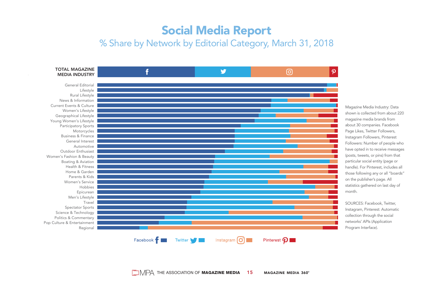## Social Media Report

## % Share by Network by Editorial Category, March 31, 2018



Magazine Media Industry: Data shown is collected from about 220 magazine media brands from about 30 companies. Facebook Page Likes, Twitter Followers, Instagram Followers, Pinterest Followers: Number of people who have opted in to receive messages (posts, tweets, or pins) from that particular social entity (page or handle). For Pinterest, includes all those following any or all "boards" on the publisher's page. All statistics gathered on last day of month.

SOURCES: Facebook, Twitter, Instagram, Pinterest: Automatic collection through the social networks' APIs (Application Program Interface).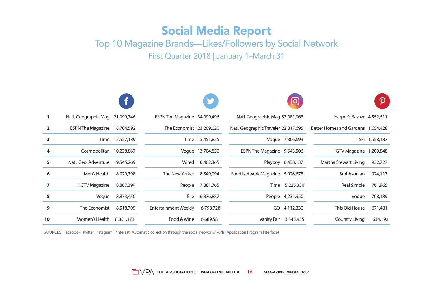## Social Media Report

Top 10 Magazine Brands—Likes/Followers by Social Network First Quarter 2018 | January 1–March 31

|                |                                 |            |                              |                  |                                      | $\overline{\mathbf{o}}$ |                                    |               |
|----------------|---------------------------------|------------|------------------------------|------------------|--------------------------------------|-------------------------|------------------------------------|---------------|
|                | Natl. Geographic Mag 21,990,746 |            | ESPN The Magazine 34,099,496 |                  | Natl. Geographic Mag 87,081,963      |                         | Harper's Bazaar 4,552,611          |               |
| $\overline{2}$ | <b>ESPN The Magazine</b>        | 18,704,592 | The Economist 23,209,020     |                  | Natl. Geographic Traveler 22,817,695 |                         | Better Homes and Gardens 1,654,428 |               |
| 3              | Time                            | 12,557,189 |                              | Time 15,451,855  |                                      | Voque 17,866,693        |                                    | Ski 1,558,187 |
| 4              | Cosmopolitan                    | 10,238,867 |                              | Voque 13,704,850 | ESPN The Magazine 9,643,506          |                         | HGTV Magazine 1,209,848            |               |
| 5              | Natl. Geo. Adventure            | 9,545,269  |                              | Wired 10,462,365 |                                      | Playboy 6,438,137       | Martha Stewart Living              | 932,727       |
| 6              | Men's Health                    | 8,920,798  | The New Yorker               | 8,549,094        | Food Network Magazine 5,926,678      |                         | Smithsonian                        | 924,117       |
| 7              | <b>HGTV Magazine</b>            | 8,887,394  | People                       | 7,881,765        | Time                                 | 5,225,330               | Real Simple                        | 761,965       |
| 8              | Voque                           | 8,873,430  | Elle                         | 6,876,887        |                                      | People 4,231,950        | Voque                              | 708,189       |
| 9              | The Economist                   | 8,518,709  | <b>Entertainment Weekly</b>  | 6,798,728        |                                      | GQ 4,112,330            | This Old House                     | 671,481       |
| 10             | Women's Health                  | 8,351,173  | Food & Wine                  | 6,689,581        | Vanity Fair 3,545,955                |                         | <b>Country Living</b>              | 634,192       |

SOURCES: Facebook, Twitter, Instagram, Pinterest: Automatic collection through the social networks' APIs (Application Program Interface).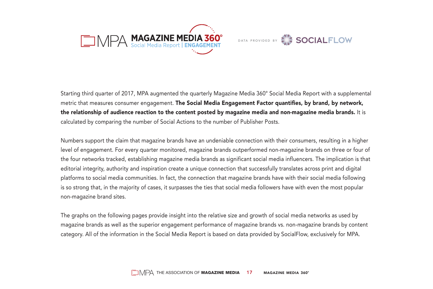

DATA PROVIDED BY **SOCIALFLOW** 

Starting third quarter of 2017, MPA augmented the quarterly Magazine Media 360° Social Media Report with a supplemental metric that measures consumer engagement. The Social Media Engagement Factor quantifies, by brand, by network, the relationship of audience reaction to the content posted by magazine media and non-magazine media brands. It is calculated by comparing the number of Social Actions to the number of Publisher Posts.

Numbers support the claim that magazine brands have an undeniable connection with their consumers, resulting in a higher level of engagement. For every quarter monitored, magazine brands outperformed non-magazine brands on three or four of the four networks tracked, establishing magazine media brands as significant social media influencers. The implication is that editorial integrity, authority and inspiration create a unique connection that successfully translates across print and digital platforms to social media communities. In fact, the connection that magazine brands have with their social media following is so strong that, in the majority of cases, it surpasses the ties that social media followers have with even the most popular non-magazine brand sites.

The graphs on the following pages provide insight into the relative size and growth of social media networks as used by magazine brands as well as the superior engagement performance of magazine brands vs. non-magazine brands by content category. All of the information in the Social Media Report is based on data provided by SocialFlow, exclusively for MPA.

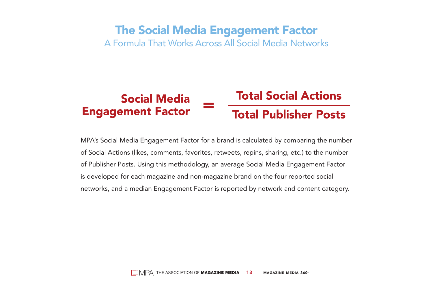## The Social Media Engagement Factor

A Formula That Works Across All Social Media Networks

#### **Total Social Actions Social Media Engagement Factor Total Publisher Posts**

MPA's Social Media Engagement Factor for a brand is calculated by comparing the number of Social Actions (likes, comments, favorites, retweets, repins, sharing, etc.) to the number of Publisher Posts. Using this methodology, an average Social Media Engagement Factor is developed for each magazine and non-magazine brand on the four reported social networks, and a median Engagement Factor is reported by network and content category.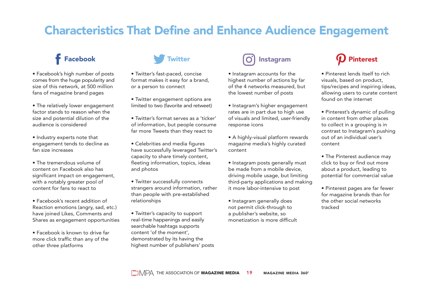## Characteristics That Define and Enhance Audience Engagement

- Facebook's high number of posts comes from the huge popularity and size of this network, at 500 million fans of magazine brand pages
- The relatively lower engagement factor stands to reason when the size and potential dilution of the audience is considered
- Industry experts note that engagement tends to decline as fan size increases
- The tremendous volume of content on Facebook also has significant impact on engagement, with a notably greater pool of content for fans to react to
- Facebook's recent addition of Reaction emotions (angry, sad, etc.) have joined Likes, Comments and Shares as engagement opportunities
- Facebook is known to drive far more click traffic than any of the other three platforms



• Twitter's fast-paced, concise format makes it easy for a brand, or a person to connect

- Twitter engagement options are limited to two (favorite and retweet)
- Twitter's format serves as a 'ticker' of information, but people consume far more Tweets than they react to
- Celebrities and media figures have successfully leveraged Twitter's capacity to share timely content, fleeting information, topics, ideas and photos
- Twitter successfully connects strangers around information, rather than people with pre-established relationships
- Twitter's capacity to support real-time happenings and easily searchable hashtags supports content 'of the moment', demonstrated by its having the highest number of publishers' posts



- Instagram accounts for the highest number of actions by far of the 4 networks measured, but the lowest number of posts
- Instagram's higher engagement rates are in part due to high use of visuals and limited, user-friendly response icons
- A highly-visual platform rewards magazine media's highly curated content
- Instagram posts generally must be made from a mobile device, driving mobile usage, but limiting third-party applications and making it more labor-intensive to post
- Instagram generally does not permit click-through to a publisher's website, so monetization is more difficult

- Pinterest lends itself to rich visuals, based on product, tips/recipes and inspiring ideas, allowing users to curate content found on the internet
- Pinterest's dynamic of pulling in content from other places to collect in a grouping is in contrast to Instagram's pushing out of an individual user's content
- The Pinterest audience may click to buy or find out more about a product, leading to potential for commercial value
- Pinterest pages are far fewer for magazine brands than for the other social networks tracked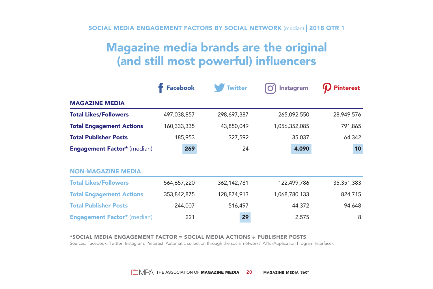SOCIAL MEDIA ENGAGEMENT FACTORS BY SOCIAL NETWORK (median) | 2018 QTR 1

## Magazine media brands are the original (and still most powerful) influencers

|                                    | <b>Facebook</b> | <b>Twitter</b> | Instagram     | <b>Pinterest</b> |
|------------------------------------|-----------------|----------------|---------------|------------------|
| <b>MAGAZINE MEDIA</b>              |                 |                |               |                  |
| <b>Total Likes/Followers</b>       | 497,038,857     | 298,697,387    | 265,092,550   | 28,949,576       |
| <b>Total Engagement Actions</b>    | 160,333,335     | 43,850,049     | 1,056,352,085 | 791,865          |
| <b>Total Publisher Posts</b>       | 185,953         | 327,592        | 35,037        | 64,342           |
| <b>Engagement Factor*</b> (median) | 269             | 24             | 4,090         | 10               |
|                                    |                 |                |               |                  |
| <b>NON-MAGAZINE MEDIA</b>          |                 |                |               |                  |
| <b>Total Likes/Followers</b>       | 564,657,220     | 362,142,781    | 122,499,786   | 35,351,383       |
| <b>Total Engagement Actions</b>    | 353,842,875     | 128,874,913    | 1,068,780,133 | 824,715          |
| <b>Total Publisher Posts</b>       | 244,007         | 516,497        | 44,372        | 94,648           |
| <b>Engagement Factor*</b> (median) | 221             | 29             | 2,575         | 8                |

#### \*SOCIAL MEDIA ENGAGEMENT FACTOR **=** SOCIAL MEDIA ACTIONS **÷** PUBLISHER POSTS

Sources: Facebook, Twitter, Instagram, Pinterest: Automatic collection through the social networks' APIs (Application Program Interface).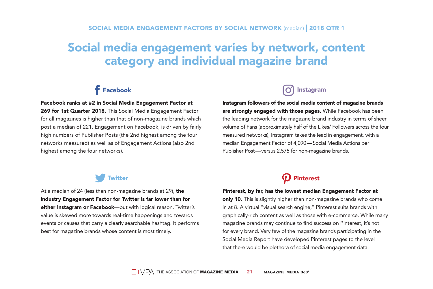## Social media engagement varies by network, content category and individual magazine brand

## **f** Facebook

#### Facebook ranks at #2 in Social Media Engagement Factor at

269 for 1st Quarter 2018. This Social Media Engagement Factor for all magazines is higher than that of non-magazine brands which post a median of 221. Engagement on Facebook, is driven by fairly high numbers of Publisher Posts (the 2nd highest among the four networks measured) as well as of Engagement Actions (also 2nd highest among the four networks).

## Instagram

Instagram followers of the social media content of magazine brands are strongly engaged with those pages. While Facebook has been the leading network for the magazine brand industry in terms of sheer volume of Fans (approximately half of the Likes/ Followers across the four measured networks), Instagram takes the lead in engagement, with a median Engagement Factor of 4,090—Social Media Actions per Publisher Post—versus 2,575 for non-magazine brands.

#### **Twitter**

At a median of 24 (less than non-magazine brands at 29), the industry Engagement Factor for Twitter is far lower than for either Instagram or Facebook-but with logical reason. Twitter's value is skewed more towards real-time happenings and towards events or causes that carry a clearly searchable hashtag. It performs best for magazine brands whose content is most timely.

## $\boldsymbol{\Omega}$  Pinterest

#### Pinterest, by far, has the lowest median Engagement Factor at

only 10. This is slightly higher than non-magazine brands who come in at 8. A virtual "visual search engine," Pinterest suits brands with graphically-rich content as well as those with e-commerce. While many magazine brands may continue to find success on Pinterest, it's not for every brand. Very few of the magazine brands participating in the Social Media Report have developed Pinterest pages to the level that there would be plethora of social media engagement data.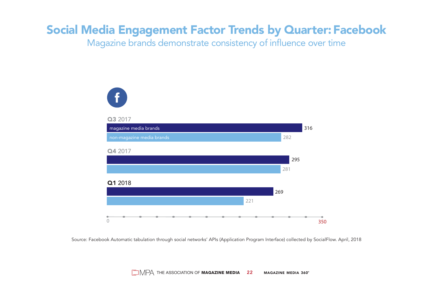## Social Media Engagement Factor Trends by Quarter: Facebook

Magazine brands demonstrate consistency of influence over time



Source: Facebook Automatic tabulation through social networks' APIs (Application Program Interface) collected by SocialFlow. April, 2018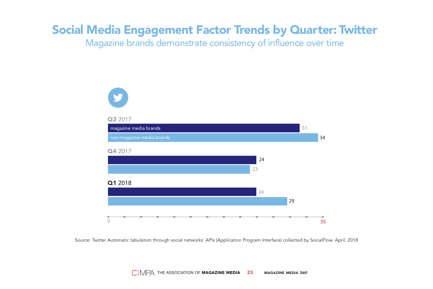## Social Media Engagement Factor Trends by Quarter: Twitter

Magazine brands demonstrate consistency of influence over time



Source: Twitter Automatic tabulation through social networks' APIs (Application Program Interface) collected by SocialFlow. April, 2018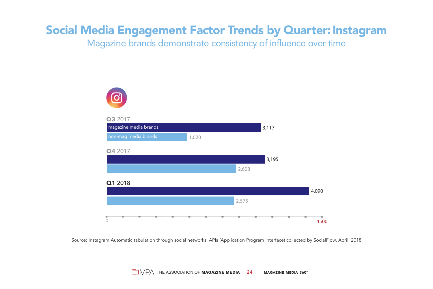## Social Media Engagement Factor Trends by Quarter: Instagram

Magazine brands demonstrate consistency of influence over time



Source: Instagram Automatic tabulation through social networks' APIs (Application Program Interface) collected by SocialFlow. April, 2018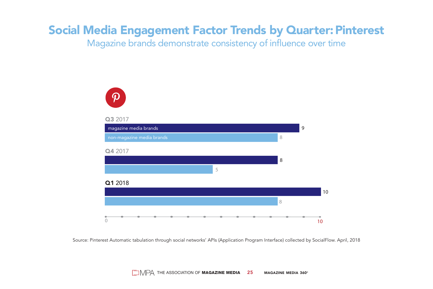## Social Media Engagement Factor Trends by Quarter: Pinterest

Magazine brands demonstrate consistency of influence over time



Source: Pinterest Automatic tabulation through social networks' APIs (Application Program Interface) collected by SocialFlow. April, 2018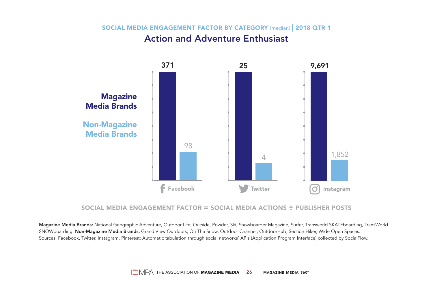#### SOCIAL MEDIA ENGAGEMENT FACTOR BY CATEGORY (median) | 2018 QTR 1 Action and Adventure Enthusiast



#### SOCIAL MEDIA ENGAGEMENT FACTOR **=** SOCIAL MEDIA ACTIONS **÷** PUBLISHER POSTS

Magazine Media Brands: National Geographic Adventure, Outdoor Life, Outside, Powder, Ski, Snowboarder Magazine, Surfer, Transworld SKATEboarding, TransWorld SNOWboarding. Non-Magazine Media Brands: Grand View Outdoors, On The Snow, Outdoor Channel, OutdoorHub, Section Hiker, Wide Open Spaces. Sources: Facebook, Twitter, Instagram, Pinterest: Automatic tabulation through social networks' APIs (Application Program Interface) collected by SocialFlow.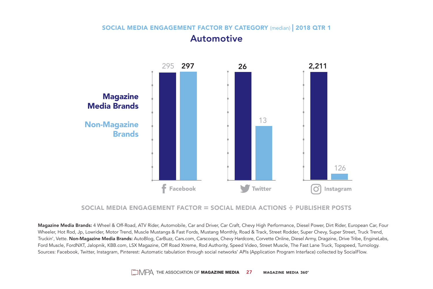#### SOCIAL MEDIA ENGAGEMENT FACTOR BY CATEGORY (median) | 2018 QTR 1 **Automotive**



#### SOCIAL MEDIA ENGAGEMENT FACTOR **=** SOCIAL MEDIA ACTIONS **÷** PUBLISHER POSTS

Magazine Media Brands: 4 Wheel & Off-Road, ATV Rider, Automobile, Car and Driver, Car Craft, Chevy High Performance, Diesel Power, Dirt Rider, European Car, Four Wheeler, Hot Rod, Jp, Lowrider, Motor Trend, Muscle Mustangs & Fast Fords, Mustang Monthly, Road & Track, Street Rodder, Super Chevy, Super Street, Truck Trend, Truckin', Vette. Non-Magazine Media Brands: AutoBlog, CarBuzz, Cars.com, Carscoops, Chevy Hardcore, Corvette Online, Diesel Army, Dragzine, Drive Tribe, EngineLabs, Ford Muscle, FordNXT, Jalopnik, KBB.com, LSX Magazine, Off Road Xtreme, Rod Authority, Speed Video, Street Muscle, The Fast Lane Truck, Topspeed, Turnology. Sources: Facebook, Twitter, Instagram, Pinterest: Automatic tabulation through social networks' APIs (Application Program Interface) collected by SocialFlow.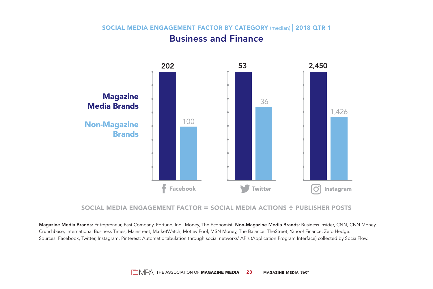SOCIAL MEDIA ENGAGEMENT FACTOR BY CATEGORY (median) | 2018 QTR 1

## Business and Finance



#### SOCIAL MEDIA ENGAGEMENT FACTOR **=** SOCIAL MEDIA ACTIONS **÷** PUBLISHER POSTS

Magazine Media Brands: Entrepreneur, Fast Company, Fortune, Inc., Money, The Economist. Non-Magazine Media Brands: Business Insider, CNN, CNN Money, Crunchbase, International Business Times, Mainstreet, MarketWatch, Motley Fool, MSN Money, The Balance, TheStreet, Yahoo! Finance, Zero Hedge. Sources: Facebook, Twitter, Instagram, Pinterest: Automatic tabulation through social networks' APIs (Application Program Interface) collected by SocialFlow.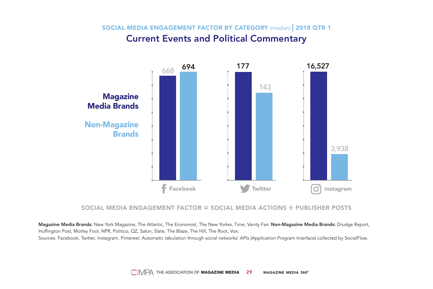SOCIAL MEDIA ENGAGEMENT FACTOR BY CATEGORY (median) | 2018 QTR 1

#### Current Events and Political Commentary



#### SOCIAL MEDIA ENGAGEMENT FACTOR **=** SOCIAL MEDIA ACTIONS **÷** PUBLISHER POSTS

Magazine Media Brands: New York Magazine, The Atlantic, The Economist, The New Yorker, Time, Vanity Fair. Non-Magazine Media Brands: Drudge Report, Huffington Post, Motley Fool, NPR, Politico, QZ, Salon, Slate, The Blaze, The Hill, The Root, Vox.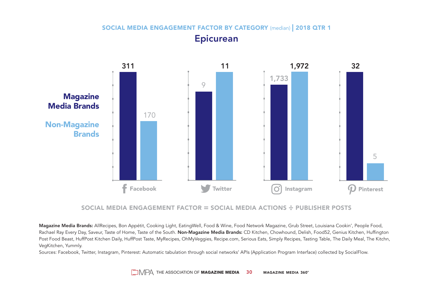### SOCIAL MEDIA ENGAGEMENT FACTOR BY CATEGORY (median) | 2018 QTR 1 Epicurean



#### SOCIAL MEDIA ENGAGEMENT FACTOR **=** SOCIAL MEDIA ACTIONS **÷** PUBLISHER POSTS

Magazine Media Brands: AllRecipes, Bon Appétit, Cooking Light, EatingWell, Food & Wine, Food Network Magazine, Grub Street, Louisiana Cookin', People Food, Rachael Ray Every Day, Saveur, Taste of Home, Taste of the South. Non-Magazine Media Brands: CD Kitchen, Chowhound, Delish, Food52, Genius Kitchen, Huffington Post Food Beast, HuffPost Kitchen Daily, HuffPost Taste, MyRecipes, OhMyVeggies, Recipe.com, Serious Eats, Simply Recipes, Tasting Table, The Daily Meal, The Kitchn, VegKitchen, Yummly.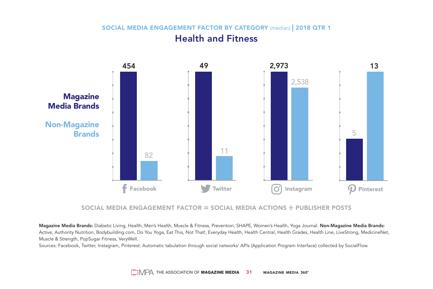#### SOCIAL MEDIA ENGAGEMENT FACTOR BY CATEGORY (median) | 2018 QTR 1 Health and Fitness



#### SOCIAL MEDIA ENGAGEMENT FACTOR **=** SOCIAL MEDIA ACTIONS **÷** PUBLISHER POSTS

Magazine Media Brands: Diabetic Living, Health, Men's Health, Muscle & Fitness, Prevention, SHAPE, Women's Health, Yoga Journal. Non-Magazine Media Brands: Active, Authority Nutrition, Bodybuilding.com, Do You Yoga, Eat This, Not That!, Everyday Health, Health Central, Health Grades, Health Line, LiveStrong, MedicineNet, Muscle & Strength, PopSugar Fitness, VeryWell.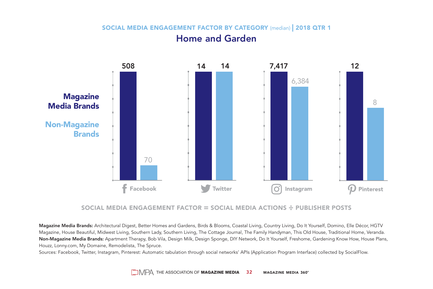#### SOCIAL MEDIA ENGAGEMENT FACTOR BY CATEGORY (median) | 2018 QTR 1

#### Home and Garden



#### SOCIAL MEDIA ENGAGEMENT FACTOR **=** SOCIAL MEDIA ACTIONS **÷** PUBLISHER POSTS

Magazine Media Brands: Architectural Digest, Better Homes and Gardens, Birds & Blooms, Coastal Living, Country Living, Do It Yourself, Domino, Elle Décor, HGTV Magazine, House Beautiful, Midwest Living, Southern Lady, Southern Living, The Cottage Journal, The Family Handyman, This Old House, Traditional Home, Veranda. Non-Magazine Media Brands: Apartment Therapy, Bob Vila, Design Milk, Design Sponge, DIY Network, Do It Yourself, Freshome, Gardening Know How, House Plans, Houzz, Lonny.com, My Domaine, Remodelista, The Spruce.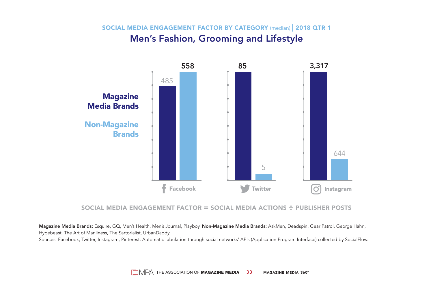SOCIAL MEDIA ENGAGEMENT FACTOR BY CATEGORY (median) | 2018 QTR 1 Men's Fashion, Grooming and Lifestyle



#### SOCIAL MEDIA ENGAGEMENT FACTOR **=** SOCIAL MEDIA ACTIONS **÷** PUBLISHER POSTS

Magazine Media Brands: Esquire, GQ, Men's Health, Men's Journal, Playboy. Non-Magazine Media Brands: AskMen, Deadspin, Gear Patrol, George Hahn, Hypebeast, The Art of Manliness, The Sartorialist, UrbanDaddy.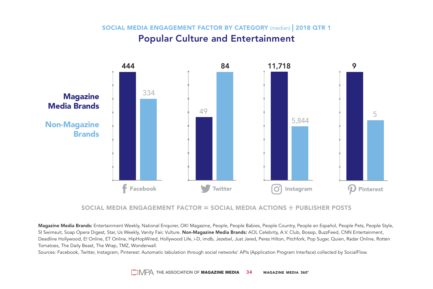SOCIAL MEDIA ENGAGEMENT FACTOR BY CATEGORY (median) | 2018 QTR 1 Popular Culture and Entertainment



#### SOCIAL MEDIA ENGAGEMENT FACTOR **=** SOCIAL MEDIA ACTIONS **÷** PUBLISHER POSTS

Magazine Media Brands: Entertainment Weekly, National Enquirer, OK! Magazine, People, People Babies, People Country, People en Español, People Pets, People Style, SI Swimsuit, Soap Opera Digest, Star, Us Weekly, Vanity Fair, Vulture. Non-Magazine Media Brands: AOL Celebrity, A.V. Club, Bossip, BuzzFeed, CNN Entertainment, Deadline Hollywood, E! Online, ET Online, HipHopWired, Hollywood Life, i-D, imdb, Jezebel, Just Jared, Perez Hilton, Pitchfork, Pop Sugar, Quien, Radar Online, Rotten Tomatoes, The Daily Beast, The Wrap, TMZ, Wonderwall.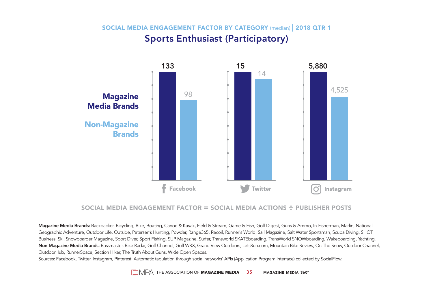SOCIAL MEDIA ENGAGEMENT FACTOR BY CATEGORY (median) | 2018 QTR 1 Sports Enthusiast (Participatory)



#### SOCIAL MEDIA ENGAGEMENT FACTOR **=** SOCIAL MEDIA ACTIONS **÷** PUBLISHER POSTS

Magazine Media Brands: Backpacker, Bicycling, Bike, Boating, Canoe & Kayak, Field & Stream, Game & Fish, Golf Digest, Guns & Ammo, In-Fisherman, Marlin, National Geographic Adventure, Outdoor Life, Outside, Petersen's Hunting, Powder, Range365, Recoil, Runner's World, Sail Magazine, Salt Water Sportsman, Scuba Diving, SHOT Business, Ski, Snowboarder Magazine, Sport Diver, Sport Fishing, SUP Magazine, Surfer, Transworld SKATEboarding, TransWorld SNOWboarding, Wakeboarding, Yachting. Non-Magazine Media Brands: Bassmaster, Bike Radar, Golf Channel, Golf WRX, Grand View Outdoors, LetsRun.com, Mountain Bike Review, On The Snow, Outdoor Channel, OutdoorHub, RunnerSpace, Section Hiker, The Truth About Guns, Wide Open Spaces.

Sources: Facebook, Twitter, Instagram, Pinterest: Automatic tabulation through social networks' APIs (Application Program Interface) collected by SocialFlow.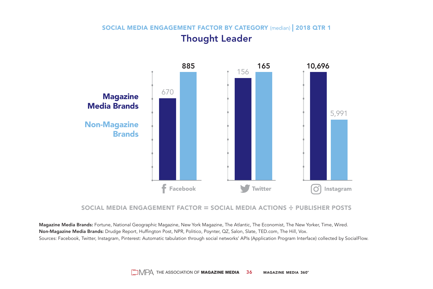#### SOCIAL MEDIA ENGAGEMENT FACTOR BY CATEGORY (median) | 2018 QTR 1 Thought Leader



#### SOCIAL MEDIA ENGAGEMENT FACTOR **=** SOCIAL MEDIA ACTIONS **÷** PUBLISHER POSTS

Magazine Media Brands: Fortune, National Geographic Magazine, New York Magazine, The Atlantic, The Economist, The New Yorker, Time, Wired. Non-Magazine Media Brands: Drudge Report, Huffington Post, NPR, Politico, Poynter, QZ, Salon, Slate, TED.com, The Hill, Vox. Sources: Facebook, Twitter, Instagram, Pinterest: Automatic tabulation through social networks' APIs (Application Program Interface) collected by SocialFlow.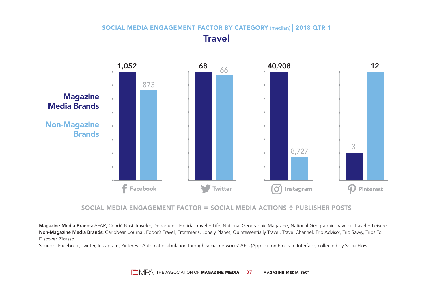#### SOCIAL MEDIA ENGAGEMENT FACTOR BY CATEGORY (median) | 2018 QTR 1 **Travel**



#### SOCIAL MEDIA ENGAGEMENT FACTOR **=** SOCIAL MEDIA ACTIONS **÷** PUBLISHER POSTS

Magazine Media Brands: AFAR, Condé Nast Traveler, Departures, Florida Travel + Life, National Geographic Magazine, National Geographic Traveler, Travel + Leisure. Non-Magazine Media Brands: Caribbean Journal, Fodor's Travel, Frommer's, Lonely Planet, Quintessentially Travel, Travel Channel, Trip Advisor, Trip Savvy, Trips To Discover, Zicasso.

Sources: Facebook, Twitter, Instagram, Pinterest: Automatic tabulation through social networks' APIs (Application Program Interface) collected by SocialFlow.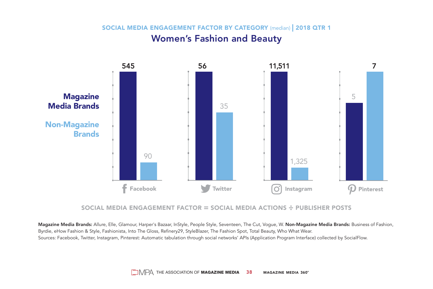SOCIAL MEDIA ENGAGEMENT FACTOR BY CATEGORY (median) | 2018 QTR 1 Women's Fashion and Beauty



#### SOCIAL MEDIA ENGAGEMENT FACTOR **=** SOCIAL MEDIA ACTIONS **÷** PUBLISHER POSTS

Magazine Media Brands: Allure, Elle, Glamour, Harper's Bazaar, InStyle, People Style, Seventeen, The Cut, Vogue, W. Non-Magazine Media Brands: Business of Fashion, Byrdie, eHow Fashion & Style, Fashionista, Into The Gloss, Refinery29, StyleBlazer, The Fashion Spot, Total Beauty, Who What Wear. Sources: Facebook, Twitter, Instagram, Pinterest: Automatic tabulation through social networks' APIs (Application Program Interface) collected by SocialFlow.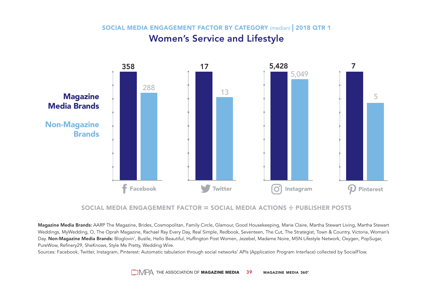SOCIAL MEDIA ENGAGEMENT FACTOR BY CATEGORY (median) | 2018 QTR 1 Women's Service and Lifestyle



#### SOCIAL MEDIA ENGAGEMENT FACTOR **=** SOCIAL MEDIA ACTIONS **÷** PUBLISHER POSTS

Magazine Media Brands: AARP The Magazine, Brides, Cosmopolitan, Family Circle, Glamour, Good Housekeeping, Marie Claire, Martha Stewart Living, Martha Stewart Weddings, MyWedding, O, The Oprah Magazine, Rachael Ray Every Day, Real Simple, Redbook, Seventeen, The Cut, The Strategist, Town & Country, Victoria, Woman's Day. Non-Magazine Media Brands: Bloglovin', Bustle, Hello Beautiful, Huffington Post Women, Jezebel, Madame Noire, MSN Lifestyle Network, Oxygen, PopSugar, PureWow, Refinery29, SheKnows, Style Me Pretty, Wedding Wire.

Sources: Facebook, Twitter, Instagram, Pinterest: Automatic tabulation through social networks' APIs (Application Program Interface) collected by SocialFlow.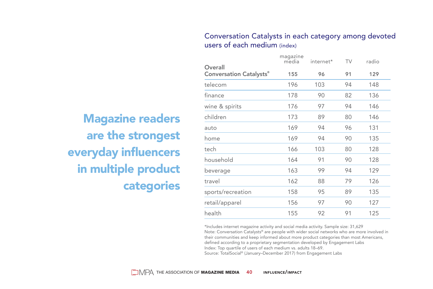#### Conversation Catalysts in each category among devoted users of each medium (index)

Magazine readers are the strongest everyday influencers in multiple product categories

| Overall                        | magazine<br>media | internet* | TV | radio |
|--------------------------------|-------------------|-----------|----|-------|
| <b>Conversation Catalysts®</b> | 155               | 96        | 91 | 129   |
| telecom                        | 196               | 103       | 94 | 148   |
| finance                        | 178               | 90        | 82 | 136   |
| wine & spirits                 | 176               | 97        | 94 | 146   |
| children                       | 173               | 89        | 80 | 146   |
| auto                           | 169               | 94        | 96 | 131   |
| home                           | 169               | 94        | 90 | 135   |
| tech                           | 166               | 103       | 80 | 128   |
| household                      | 164               | 91        | 90 | 128   |
| beverage                       | 163               | 99        | 94 | 129   |
| travel                         | 162               | 88        | 79 | 126   |
| sports/recreation              | 158               | 95        | 89 | 135   |
| retail/apparel                 | 156               | 97        | 90 | 127   |
| health                         | 155               | 92        | 91 | 125   |

\*Includes internet magazine activity and social media activity. Sample size: 31,629 Note: Conversation Catalysts® are people with wider social networks who are more involved in their communities and keep informed about more product categories than most Americans, defined according to a proprietary segmentation developed by Engagement Labs Index: Top quartile of users of each medium vs. adults 18–69. Source: TotalSocial® (January–December 2017) from Engagement Labs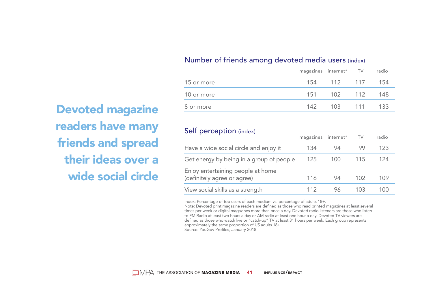#### Number of friends among devoted media users (index)

|            | magazines internet* TV |                 | radio |
|------------|------------------------|-----------------|-------|
| 15 or more |                        | 154 112 117 154 |       |
| 10 or more |                        | 151 102 112 148 |       |
| 8 or more  |                        | 142 103 111 133 |       |

#### Self perception (index)

|                                                                  | magazines internet* TV |     |     | radio |  |
|------------------------------------------------------------------|------------------------|-----|-----|-------|--|
| Have a wide social circle and enjoy it                           | 134                    | 94  | 99  | 123   |  |
| Get energy by being in a group of people                         | 125                    | 100 | 115 | 124   |  |
| Enjoy entertaining people at home<br>(definitely agree or agree) | 116                    | 94  | 102 | 109   |  |
| View social skills as a strength                                 | 112                    | 96  | 103 | 100   |  |

Index: Percentage of top users of each medium vs. percentage of adults 18+.

Note: Devoted print magazine readers are defined as those who read printed magazines at least several times per week or digital magazines more than once a day. Devoted radio listeners are those who listen to FM Radio at least two hours a day or AM radio at least one hour a day. Devoted TV viewers are defined as those who watch live or "catch-up" TV at least 31 hours per week. Each group represents approximately the same proportion of US adults 18+.

Source: YouGov Profiles, January 2018

Devoted magazine readers have many friends and spread their ideas over a wide social circle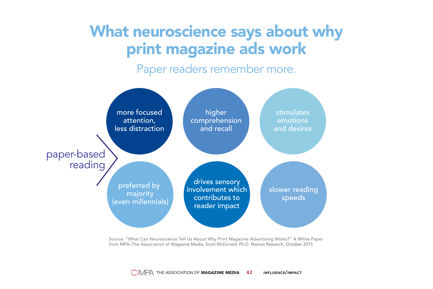# What neuroscience says about why print magazine ads work

Paper readers remember more.



Source: "What Can Neuroscience Tell Us About Why Print Magazine Advertising Works?" A White Paper from MPA–The Association of Magazine Media, Scott McDonald, Ph.D. Nomos Research, October 2015

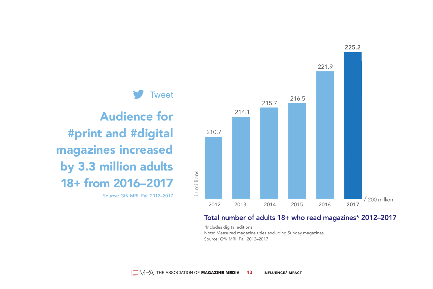

#### Total number of adults 18+ who read magazines\* 2012–2017

\*Includes digital editions Note: Measured magazine titles excluding Sunday magazines. Source: GfK MRI, Fall 2012–2017

 $\Box$   $\Box$  The association of **Magazine Media 43** Influence/impact

in millions

#### **Tweet**

### Audience for #print and #digital magazines increased by 3.3 million adults 18+ from 2016–2017

Source: GfK MRI, Fall 2012–2017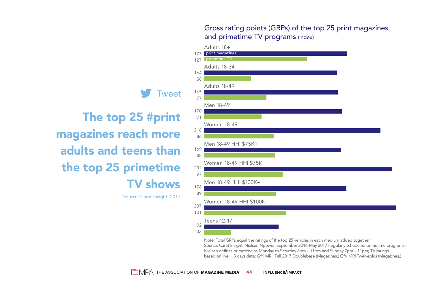Gross rating points (GRPs) of the top 25 print magazines and primetime TV programs (index)



Note: Total GRPs equal the ratings of the top 25 vehicles in each medium added together. Source: Carat Insight; Nielsen Npower, September 2016-May 2017 (regularly scheduled primetime programs). Nielsen defines primetime as Monday to Saturday 8pm – 11pm and Sunday 7pm – 11pm; TV ratings based on live + 3 days data; GfK MRI, Fall 2017 Doublebase (Magazines,) GfK MRI Twelveplus (Magazines,)



The top 25 #print magazines reach more adults and teens than the top 25 primetime TV shows

Source: Carat Insight, 2017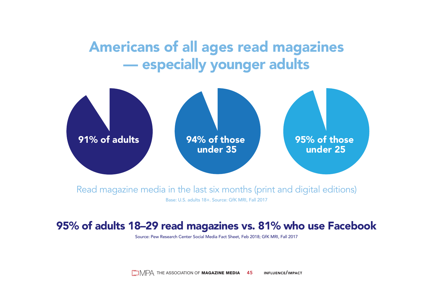### Americans of all ages read magazines — especially younger adults



Read magazine media in the last six months (print and digital editions) Base: U.S. adults 18+. Source: GfK MRI, Fall 2017

### 95% of adults 18–29 read magazines vs. 81% who use Facebook

Source: Pew Research Center Social Media Fact Sheet, Feb 2018; GfK MRI, Fall 2017

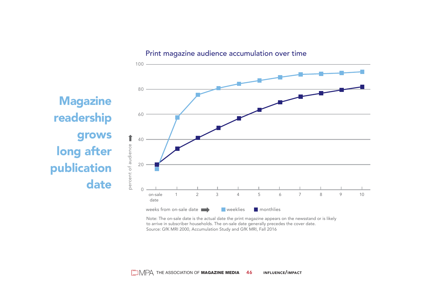Print magazine audience accumulation over time



Note: The on-sale date is the actual date the print magazine appears on the newsstand or is likely to arrive in subscriber households. The on-sale date generally precedes the cover date. Source: GfK MRI 2000, Accumulation Study and GfK MRI, Fall 2016

**Magazine** readership grows long after publication date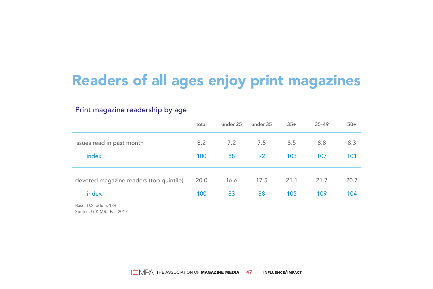# Readers of all ages enjoy print magazines

#### Print magazine readership by age

| total | under 25 | under 35 | $35+$ | $35 - 49$ | $50+$ |
|-------|----------|----------|-------|-----------|-------|
| 8.2   | 7.2      | 7.5      | 8.5   | 8.8       | 8.3   |
| 100   | 88       | 92       | 103   | 107       | 101   |
|       |          |          |       | 21.7      | 20.7  |
| 100   | 83       | 88       | 105   | 109       | 104   |
|       | 20.0     | 16.6     | 17.5  | 21.1      |       |

Base: U.S. adults 18+ Source: GfK MRI, Fall 2017

 $\Box$   $\Box$  The association of **Magazine media 047 influence/impact**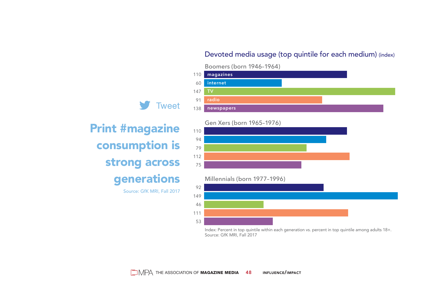#### Devoted media usage (top quintile for each medium) (index)

#### Boomers (born 1946–1964)



#### Gen Xers (born 1965–1976)



Millennials (born 1977–1996)



Index: Percent in top quintile within each generation vs. percent in top quintile among adults 18+. Source: GfK MRI, Fall 2017



Print #magazine consumption is strong across generations

Source: GfK MRI, Fall 2017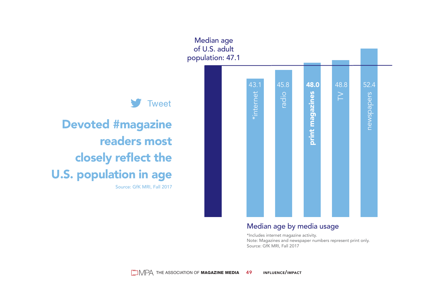

Note: Magazines and newspaper numbers represent print only. Source: GfK MRI, Fall 2017

# Tweet

Devoted #magazine readers most closely reflect the U.S. population in age Source: GfK MRI, Fall 2017

> Median age by media usage \*Includes internet magazine activity.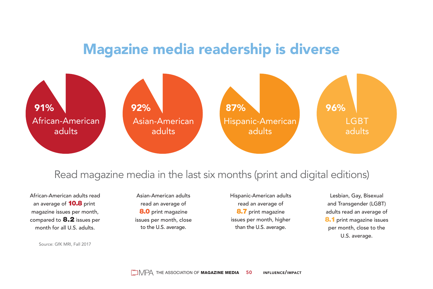### Magazine media readership is diverse



### Read magazine media in the last six months (print and digital editions)

African-American adults read an average of **10.8** print magazine issues per month, compared to 8.2 issues per month for all U.S. adults.

Source: GfK MRI, Fall 2017

Asian-American adults read an average of 8.0 print magazine issues per month, close to the U.S. average.

Hispanic-American adults read an average of 8.7 print magazine issues per month, higher than the U.S. average.

Lesbian, Gay, Bisexual and Transgender (LGBT) adults read an average of 8.1 print magazine issues per month, close to the U.S. average.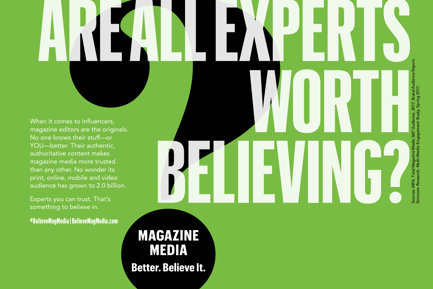When it comes to influencers, magazine editors are the originals. No one knows their stuff—or YOU—better. Their authentic, authoritative content makes magazine media more trusted than any other. No wonder its print, online, mobile and video audience has grown to 2.0 billion.

Experts you can trust. That's something to believe in.

**#BelieveMagMedia | BelieveMagMedia.com**

**MAGAZINE MEDIA Better. Believe It.** 

Sources: MPA, Total Magazine Media 360° Audience, 2017, Brand Audience Report; Simmons Research, Multi-Media Engagement Study, Spring 2017.Sources: MPA, Total Magazine<br>Simmons Research, Multi-Me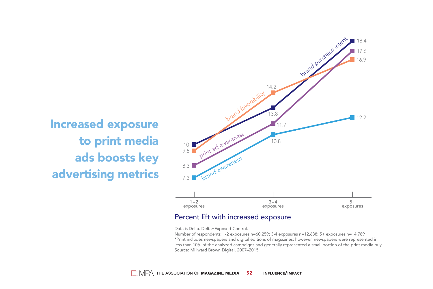

#### Percent lift with increased exposure

Data is Delta. Delta=Exposed-Control.

Number of respondents: 1-2 exposures n=60,259; 3-4 exposures n=12,638; 5+ exposures n=14,789 \*Print includes newspapers and digital editions of magazines; however, newspapers were represented in less than 10% of the analyzed campaigns and generally represented a small portion of the print media buy. Source: Millward Brown Digital, 2007–2015

Increased exposure to print media ads boosts key advertising metrics **brand awarenes**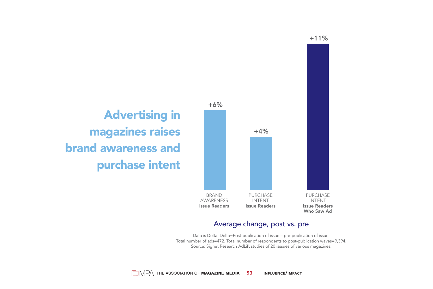

#### Average change, post vs. pre

Data is Delta. Delta=Post-publication of issue – pre-publication of issue. Total number of ads=472. Total number of respondents to post-publication waves=9,394. Source: Signet Research AdLift studies of 20 isssues of various magazines.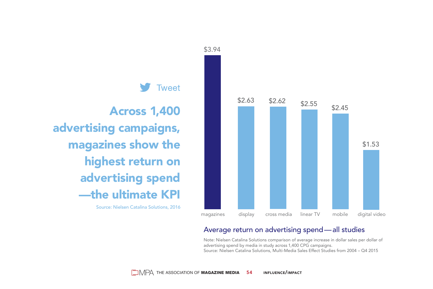

#### Average return on advertising spend — all studies

Note: Nielsen Catalina Solutions comparison of average increase in dollar sales per dollar of advertising spend by media in study across 1,400 CPG campaigns. Source: Nielsen Catalina Solutions, Multi-Media Sales Effect Studies from 2004 – Q4 2015

Across 1,400 advertising campaigns, magazines show the highest return on advertising spend —the ultimate KPI

Source: Nielsen Catalina Solutions, 2016



\$3.94

Tweet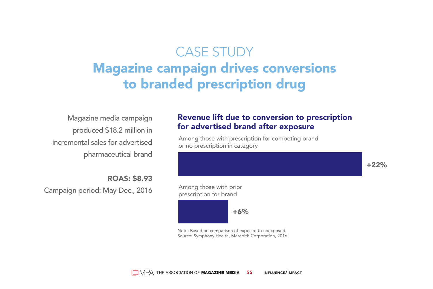### CASE STUDY Magazine campaign drives conversions to branded prescription drug

Magazine media campaign produced \$18.2 million in incremental sales for advertised pharmaceutical brand

ROAS: \$8.93 Campaign period: May-Dec., 2016

#### Revenue lift due to conversion to prescription for advertised brand after exposure

Among those with prescription for competing brand or no prescription in category

+22%

Among those with prior prescription for brand

 $+6%$ 

Note: Based on comparison of exposed to unexposed. Source: Symphony Health, Meredith Corporation, 2016

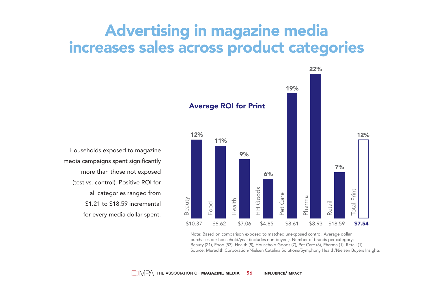# Advertising in magazine media increases sales across product categories

Beauty<br>Food<br>Health HH Goods<br>Pet Care Retail Total Print<br>Total Print 12% 11% 9% 6% 22% 19% 12% 7% \$10.37 \$6.62 \$7.06 \$4.85 \$8.61 \$8.93 \$18.59 \$7.54 Average ROI for Print

Note: Based on comparison exposed to matched unexposed control. Average dollar purchases per household/year (includes non-buyers). Number of brands per category: Beauty (21), Food (53), Health (8), Household Goods (7), Pet Care (8), Pharma (1), Retail (1). Source: Meredith Corporation/Nielsen Catalina Solutions/Symphony Health/Nielsen Buyers Insights

Households exposed to magazine media campaigns spent significantly more than those not exposed (test vs. control). Positive ROI for all categories ranged from \$1.21 to \$18.59 incremental for every media dollar spent.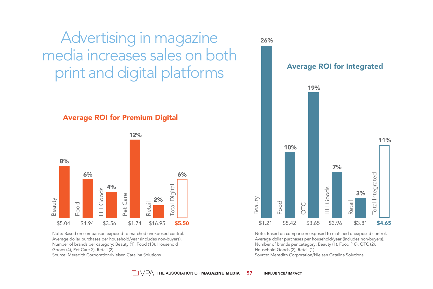Advertising in magazine media increases sales on both print and digital platforms

#### Average ROI for Premium Digital



Note: Based on comparison exposed to matched unexposed control. Average dollar purchases per household/year (includes non-buyers). Number of brands per category: Beauty (1), Food (13), Household Goods (4), Pet Care 2), Retail (2). Source: Meredith Corporation/Nielsen Catalina Solutions



Note: Based on comparison exposed to matched unexposed control. Average dollar purchases per household/year (includes non-buyers). Number of brands per category: Beauty (1), Food (10), OTC (2), Household Goods (2), Retail (1). Source: Meredith Corporation/Nielsen Catalina Solutions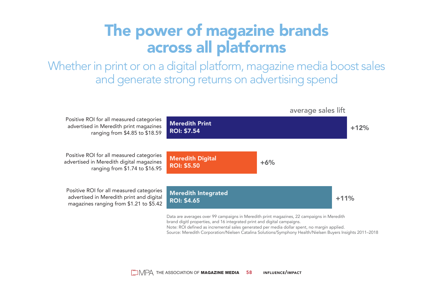# The power of magazine brands across all platforms

Whether in print or on a digital platform, magazine media boost sales and generate strong returns on advertising spend

Positive ROI for all measured categories advertised in Meredith print magazines ranging from \$4.85 to \$18.59 Positive ROI for all measured categories advertised in Meredith digital magazines ranging from \$1.74 to \$16.95 Positive ROI for all measured categories advertised in Meredith print and digital magazines ranging from \$1.21 to \$5.42 +12%  $+6%$  $+11%$ Data are averages over 99 campaigns in Meredith print magazines, 22 campaigns in Meredith brand digitl properties, and 16 integrated print and digital campaigns. Note: ROI defined as incremental sales generated per media dollar spent, no margin applied. Source: Meredith Corporation/Nielsen Catalina Solutions/Symphony Health/Nielsen Buyers Insights 2011–2018 **Meredith Print** ROI: \$7.54 Meredith Digital ROI: \$5.50 **Meredith Integrated** ROI: \$4.65 average sales lift

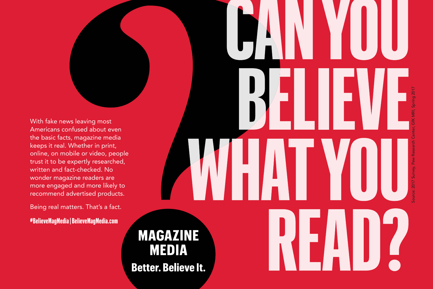With fake news leaving most Americans confused about even the basic facts, magazine media keeps it real. Whether in print, online, on mobile or video, people trust it to be expertly researched, written and fact-checked. No wonder magazine readers are more engaged and more likely to recommend advertised products.

Being real matters. That's a fact.

**#BelieveMagMedia | BelieveMagMedia.com**

**MAGAZINE MEDIA Better. Believe It.** 

Source: 2017 Survey, Pew Research Center, GfK MRI, Spring 2017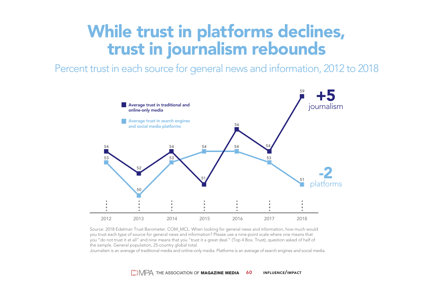# While trust in platforms declines, trust in journalism rebounds

Percent trust in each source for general news and information, 2012 to 2018



Source: 2018 Edelman Trust Barometer. COM\_MCL. When looking for general news and information, how much would you trust each type of source for general news and information? Please use a nine-point scale where one means that you "do not trust it at all" and nine means that you "trust it a great deal." (Top 4 Box. Trust), question asked of half of the sample. General population, 25-country global total.

Journalism is an average of traditional media and online-only media. Platforms is an average of search engines and social media.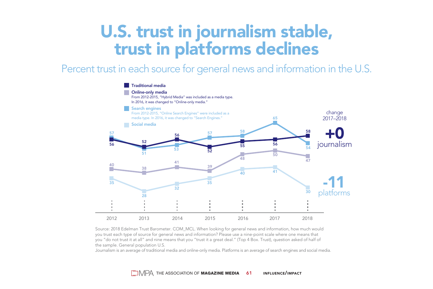# U.S. trust in journalism stable, trust in platforms declines

Percent trust in each source for general news and information in the U.S.



Source: 2018 Edelman Trust Barometer. COM\_MCL. When looking for general news and information, how much would you trust each type of source for general news and information? Please use a nine-point scale where one means that you "do not trust it at all" and nine means that you "trust it a great deal." (Top 4 Box. Trust), question asked of half of the sample. General population U.S.

Journalism is an average of traditional media and online-only media. Platforms is an average of search engines and social media.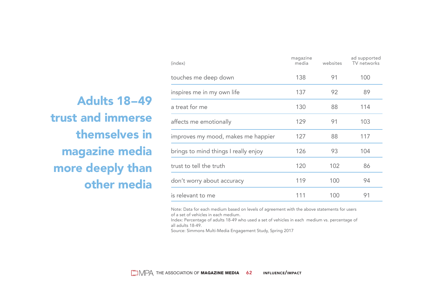Adults 18–49 trust and immerse themselves in magazine media more deeply than other media

| (index)                              | magazine<br>media | websites | ad supported<br>TV networks |
|--------------------------------------|-------------------|----------|-----------------------------|
| touches me deep down                 | 138               | 91       | 100                         |
| inspires me in my own life           | 137               | 92       | 89                          |
| a treat for me                       | 130               | 88       | 114                         |
| affects me emotionally               | 129               | 91       | 103                         |
| improves my mood, makes me happier   | 127               | 88       | 117                         |
| brings to mind things I really enjoy | 126               | 93       | 104                         |
| trust to tell the truth              | 120               | 102      | 86                          |
| don't worry about accuracy           | 119               | 100      | 94                          |
| is relevant to me                    | 111               | 100      | 91                          |
|                                      |                   |          |                             |

Note: Data for each medium based on levels of agreement with the above statements for users of a set of vehicles in each medium.

Index: Percentage of adults 18-49 who used a set of vehicles in each medium vs. percentage of all adults 18-49.

Source: Simmons Multi-Media Engagement Study, Spring 2017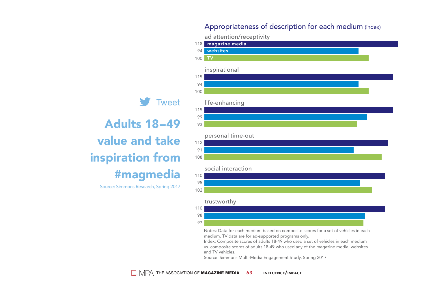#### Appropriateness of description for each medium (index)

ad attention/receptivity



Notes: Data for each medium based on composite scores for a set of vehicles in each medium. TV data are for ad-supported programs only.

Index: Composite scores of adults 18-49 who used a set of vehicles in each medium vs. composite scores of adults 18-49 who used any of the magazine media, websites and TV vehicles.

Source: Simmons Multi-Media Engagement Study, Spring 2017

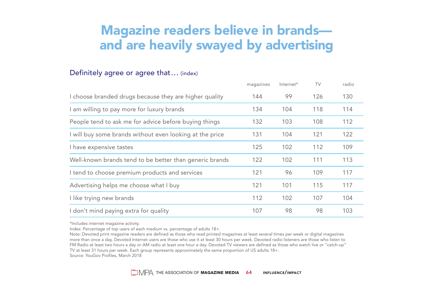### Magazine readers believe in brands and are heavily swayed by advertising

#### Definitely agree or agree that ... (index)

|                                                          | magazines | Internet* | TV  | radio |
|----------------------------------------------------------|-----------|-----------|-----|-------|
| I choose branded drugs because they are higher quality   | 144       | 99        | 126 | 130   |
| I am willing to pay more for luxury brands               | 134       | 104       | 118 | 114   |
| People tend to ask me for advice before buying things    | 132       | 103       | 108 | 112   |
| I will buy some brands without even looking at the price | 131       | 104       | 121 | 122   |
| I have expensive tastes                                  | 125       | 102       | 112 | 109   |
| Well-known brands tend to be better than generic brands  | 122       | 102       | 111 | 113   |
| I tend to choose premium products and services           | 121       | 96        | 109 | 117   |
| Advertising helps me choose what I buy                   | 121       | 101       | 115 | 117   |
| I like trying new brands                                 | 112       | 102       | 107 | 104   |
| I don't mind paying extra for quality                    | 107       | 98        | 98  | 103   |

\*Includes internet magazine activity.

Index: Percentage of top users of each medium vs. percentage of adults 18+.

Note: Devoted print magazine readers are defined as those who read printed magazines at least several times per week or digital magazines more than once a day. Devoted Internet users are those who use it at least 30 hours per week. Devoted radio listeners are those who listen to FM Radio at least two hours a day or AM radio at least one hour a day. Devoted TV viewers are defined as those who watch live or "catch-up" TV at least 31 hours per week. Each group represents approximately the same proportion of US adults 18+. Source: YouGov Profiles, March 2018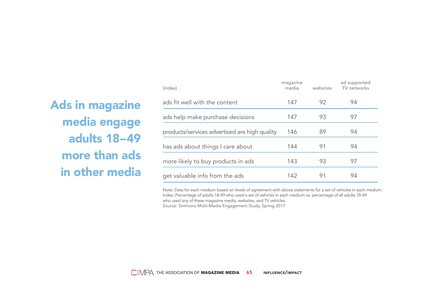### Ads in magazine media engage adults 18–49 more than ads in other media

| (index)                                       | magazine<br>media | websites | ad supported<br>TV networks |
|-----------------------------------------------|-------------------|----------|-----------------------------|
| ads fit well with the content                 | 147               | 92       | 94                          |
| ads help make purchase decisions              | 147               | 93       | 97                          |
| products/services advertised are high quality | 146               | 89       | 94                          |
| has ads about things I care about             | 144               | 91       | 94                          |
| more likely to buy products in ads            | 143               | 93       | 97                          |
| get valuable info from the ads                | 142               | 91       | 94                          |

Note: Data for each medium based on levels of agreement with above statements for a set of vehicles in each medium. Index: Percentage of adults 18-49 who used a set of vehicles in each medium vs. percentage of all adults 18-49 who used any of these magazine media, websites, and TV vehicles.

Source: Simmons Multi-Media Engagement Study, Spring 2017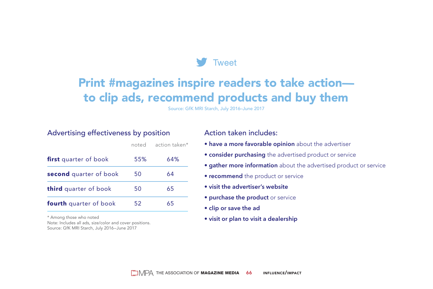

### Print #magazines inspire readers to take action to clip ads, recommend products and buy them

Source: GfK MRI Starch, July 2016–June 2017

#### Advertising effectiveness by position

|                               | noted | action taken* |
|-------------------------------|-------|---------------|
| <b>first</b> quarter of book  | 55%   | 64%           |
| second quarter of book        | 50    | 64            |
| third quarter of book         | 50    | 65            |
| <b>fourth</b> quarter of book | 52    | 65            |

\* Among those who noted

Note: Includes all ads, size/color and cover positions. Source: GfK MRI Starch, July 2016–June 2017

#### Action taken includes:

- **have a more favorable opinion** about the advertiser
- **consider purchasing** the advertised product or service
- **gather more information** about the advertised product or service
- **recommend** the product or service
- **visit the advertiser's website**
- **purchase the product** or service
- **clip or save the ad**
- **visit or plan to visit a dealership**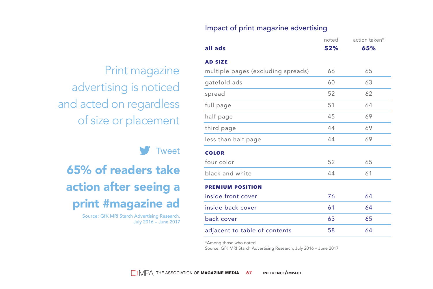#### Impact of print magazine advertising

Print magazine advertising is noticed and acted on regardless of size or placement

#### **Tweet**

65% of readers take action after seeing a print #magazine ad

> Source: GfK MRI Starch Advertising Research, July 2016 – June 2017

|                                    | noted | action taken* |
|------------------------------------|-------|---------------|
| all ads                            | 52%   | 65%           |
| <b>AD SIZE</b>                     |       |               |
| multiple pages (excluding spreads) | 66    | 65            |
| gatefold ads                       | 60    | 63            |
| spread                             | 52    | 62            |
| full page                          | 51    | 64            |
| half page                          | 45    | 69            |
| third page                         | 44    | 69            |
| less than half page                | 44    | 69            |
| <b>COLOR</b>                       |       |               |
| four color                         | 52    | 65            |
| black and white                    | 44    | 61            |
| <b>PREMIUM POSITION</b>            |       |               |
| inside front cover                 | 76    | 64            |
| inside back cover                  | 61    | 64            |
| back cover                         | 63    | 65            |
| adjacent to table of contents      | 58    | 64            |
|                                    |       |               |

\*Among those who noted

Source: GfK MRI Starch Advertising Research, July 2016 – June 2017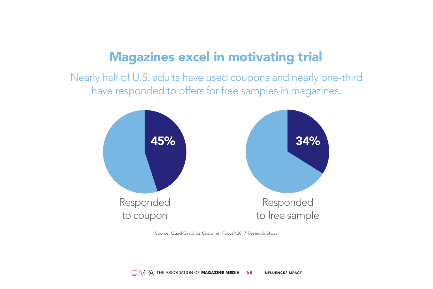### Magazines excel in motivating trial

Nearly half of U.S. adults have used coupons and nearly one-third have responded to offers for free samples in magazines.



Source: Quad/Graphics Customer Focus® 2017 Research Study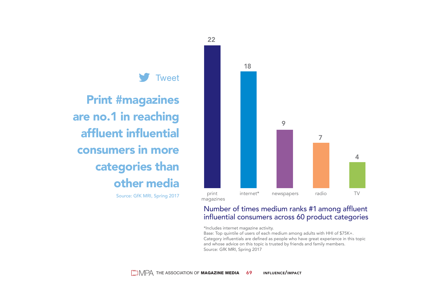

#### Number of times medium ranks #1 among affluent influential consumers across 60 product categories

\*Includes internet magazine activity.

Base: Top quintile of users of each medium among adults with HHI of \$75K+. Category influentials are defined as people who have great experience in this topic and whose advice on this topic is trusted by friends and family members. Source: GfK MRI, Spring 2017



Print #magazines are no.1 in reaching affluent influential consumers in more categories than other media

Source: GfK MRI, Spring 2017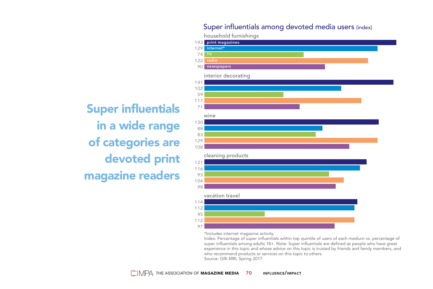#### Super influentials among devoted media users (index)

household furnishings



Super influentials in a wide range of categories are devoted print magazine readers

\*Includes internet magazine activity.

Index: Percentage of super influentials within top quintile of users of each medium vs. percentage of super influentials among adults 18+. Note: Super influentials are defined as people who have great experience in this topic and whose advice on this topic is trusted by friends and family members, and who recommend products or services on this topic to others. Source: GfK MRI, Spring 2017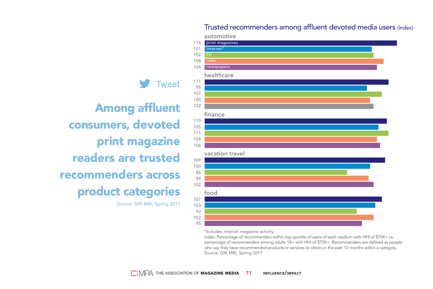101 internet\* 102 108 radio newspapers 104 healthcare 111 **Tweet** 98 107 100 102 finance 110 105 111 104 106 vacation travel 109 100 86 99 102 product categories food 107 Source: GfK MRI, Spring 2017103 92

> 102 95

116 print magazines

automotive

Trusted recommenders among affluent devoted media users (index)

\*Includes internet magazine activity.

Index: Percentage of recommenders within top quintile of users of each medium with HHI of \$75K+ vs. percentage of recommenders among adults 18+ with HHI of \$75K+. Recommenders are defined as people who say they have recommended products or services to others in the past 12 months within a category. Source: GfK MRI, Spring 2017

Among affluent consumers, devoted print magazine readers are trusted recommenders across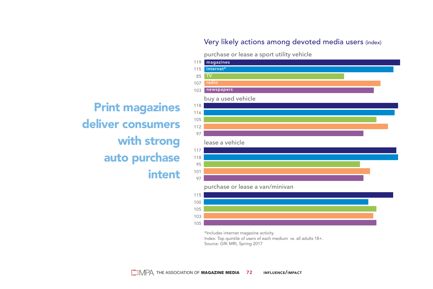#### Very likely actions among devoted media users (index)

purchase or lease a sport utility vehicle



\*Includes internet magazine activity. Index: Top quintile of users of each medium vs. all adults 18+. Source: GfK MRI, Spring 2017

Print magazines deliver consumers with strong auto purchase intent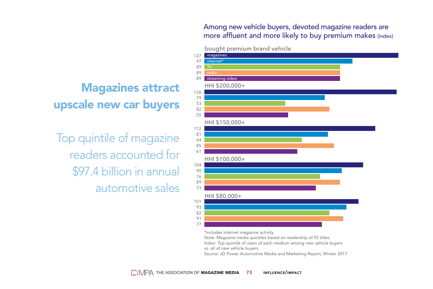Among new vehicle buyers, devoted magazine readers are more affluent and more likely to buy premium makes (index)

#### bought premium brand vehicle



\*Includes internet magazine activity.

Note: Magazine media quintiles based on readership of 92 titles.

Index: Top quintile of users of each medium among new vehicle buyers vs. all of new vehicle buyers.

Source: JD Power Automotive Media and Marketing Report, Winter 2017

## Magazines attract upscale new car buyers

Top quintile of magazine readers accounted for \$97.4 billion in annual automotive sales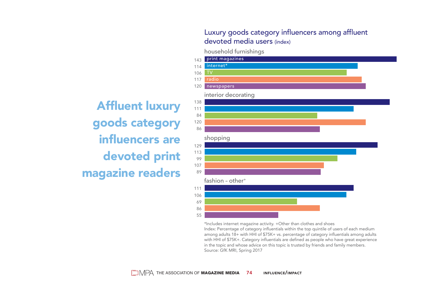#### Luxury goods category influencers among affluent devoted media users (index)

household furnishings

Affluent luxury goods category influencers are devoted print magazine readers



\*Includes internet magazine activity. +Other than clothes and shoes Index: Percentage of category influentials within the top quintile of users of each medium among adults 18+ with HHI of \$75K+ vs. percentage of category influentials among adults with HHI of \$75K+. Category influentials are defined as people who have great experience in the topic and whose advice on this topic is trusted by friends and family members. Source: GfK MRI, Spring 2017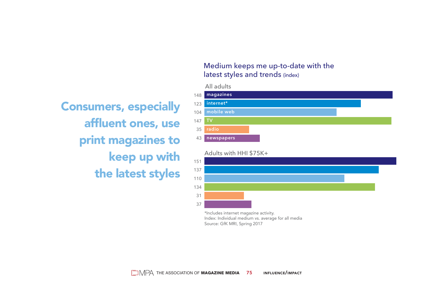Consumers, especially affluent ones, use print magazines to keep up with the latest styles

#### Medium keeps me up-to-date with the latest styles and trends (index)

All adults



Adults with HHI \$75K+



\*Includes internet magazine activity. Index: Individual medium vs. average for all media Source: GfK MRI, Spring 2017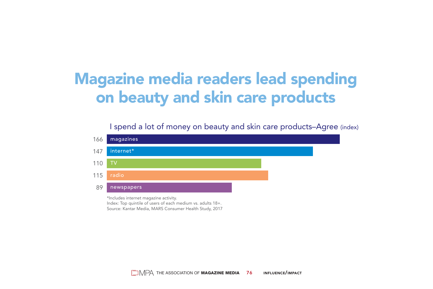## Magazine media readers lead spending on beauty and skin care products

I spend a lot of money on beauty and skin care products–Agree (index)



Index: Top quintile of users of each medium vs. adults 18+. Source: Kantar Media, MARS Consumer Health Study, 2017

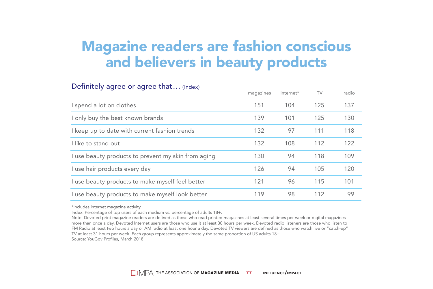## Magazine readers are fashion conscious and believers in beauty products

#### Definitely agree or agree that ... (index)

|                                                     | magazines | Internet* | TV  | radio |
|-----------------------------------------------------|-----------|-----------|-----|-------|
| I spend a lot on clothes                            | 151       | 104       | 125 | 137   |
| I only buy the best known brands                    | 139       | 101       | 125 | 130   |
| I keep up to date with current fashion trends       | 132       | 97        | 111 | 118   |
| I like to stand out                                 | 132       | 108       | 112 | 122   |
| I use beauty products to prevent my skin from aging | 130       | 94        | 118 | 109   |
| I use hair products every day                       | 126       | 94        | 105 | 120   |
| I use beauty products to make myself feel better    | 121       | 96        | 115 | 101   |
| I use beauty products to make myself look better    | 119       | 98        | 112 | 99    |

\*Includes internet magazine activity.

Index: Percentage of top users of each medium vs. percentage of adults 18+.

Note: Devoted print magazine readers are defined as those who read printed magazines at least several times per week or digital magazines more than once a day. Devoted Internet users are those who use it at least 30 hours per week. Devoted radio listeners are those who listen to FM Radio at least two hours a day or AM radio at least one hour a day. Devoted TV viewers are defined as those who watch live or "catch-up" TV at least 31 hours per week. Each group represents approximately the same proportion of US adults 18+.

Source: YouGov Profiles, March 2018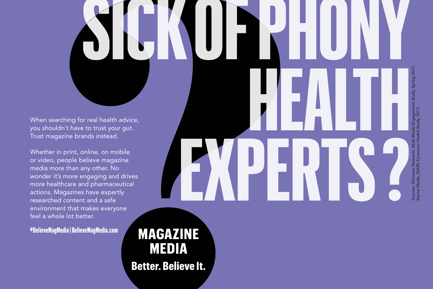When searching for real health advice, you shouldn't have to trust your gut. Trust magazine brands instead.

Whether in print, online, on mobile or video, people believe magazine media more than any other. No wonder it's more engaging and drives more healthcare and pharmaceutical actions. Magazines have expertly researched content and a safe environment that makes everyone feel a whole lot better.

**#BelieveMagMedia | BelieveMagMedia.com**

**MAGAZINE MEDIA Better. Believe It.** 

**SICKOFPHONY HEALTH EXPERTS?** Sources: Simmons Research, Multi-Media Engagement Study, Spring 2017; Kantar Media, MARS Consumer Health Study, 2017.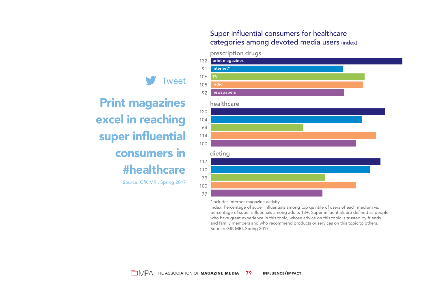#### Super influential consumers for healthcare categories among devoted media users (index)

## Tweet





\*Includes internet magazine activity.

prescription drugs

Index: Percentage of super influentials among top quintile of users of each medium vs. percentage of super influentials among adults 18+. Super influentials are defined as people who have great experience in this topic, whose advice on this topic is trusted by friends and family members and who recommend products or services on this topic to others. Source: GfK MRI, Spring 2017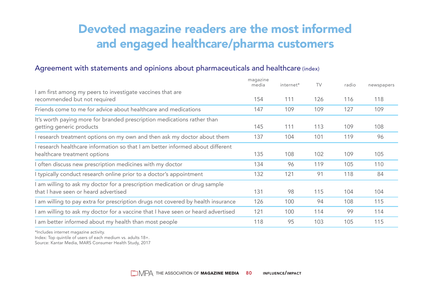## Devoted magazine readers are the most informed and engaged healthcare/pharma customers

#### Agreement with statements and opinions about pharmaceuticals and healthcare (index)

|                                                                                                                  | magazine<br>media | internet* | TV  | radio | newspapers |
|------------------------------------------------------------------------------------------------------------------|-------------------|-----------|-----|-------|------------|
| I am first among my peers to investigate vaccines that are<br>recommended but not required                       | 154               | 111       | 126 | 116   | 118        |
| Friends come to me for advice about healthcare and medications                                                   | 147               | 109       | 109 | 127   | 109        |
| It's worth paying more for branded prescription medications rather than<br>getting generic products              | 145               | 111       | 113 | 109   | 108        |
| I research treatment options on my own and then ask my doctor about them                                         | 137               | 104       | 101 | 119   | 96         |
| I research healthcare information so that I am better informed about different<br>healthcare treatment options   | 135               | 108       | 102 | 109   | 105        |
| I often discuss new prescription medicines with my doctor                                                        | 134               | 96        | 119 | 105   | 110        |
| I typically conduct research online prior to a doctor's appointment                                              | 132               | 121       | 91  | 118   | 84         |
| am willing to ask my doctor for a prescription medication or drug sample<br>that I have seen or heard advertised | 131               | 98        | 115 | 104   | 104        |
| I am willing to pay extra for prescription drugs not covered by health insurance                                 | 126               | 100       | 94  | 108   | 115        |
| I am willing to ask my doctor for a vaccine that I have seen or heard advertised                                 | 121               | 100       | 114 | 99    | 114        |
| I am better informed about my health than most people                                                            | 118               | 95        | 103 | 105   | 115        |

\*Includes internet magazine activity.

Index: Top quintile of users of each medium vs. adults 18+.

Source: Kantar Media, MARS Consumer Health Study, 2017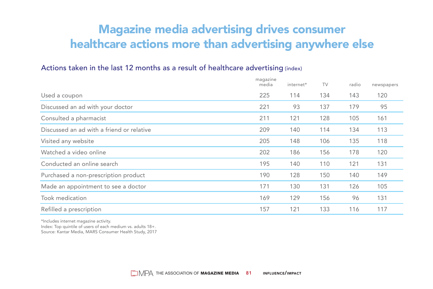## Magazine media advertising drives consumer healthcare actions more than advertising anywhere else

#### Actions taken in the last 12 months as a result of healthcare advertising (index)

|                                           | magazine<br>media | internet* | TV  | radio | newspapers |
|-------------------------------------------|-------------------|-----------|-----|-------|------------|
| Used a coupon                             | 225               | 114       | 134 | 143   | 120        |
| Discussed an ad with your doctor          | 221               | 93        | 137 | 179   | 95         |
| Consulted a pharmacist                    | 211               | 121       | 128 | 105   | 161        |
| Discussed an ad with a friend or relative | 209               | 140       | 114 | 134   | 113        |
| Visited any website                       | 205               | 148       | 106 | 135   | 118        |
| Watched a video online                    | 202               | 186       | 156 | 178   | 120        |
| Conducted an online search                | 195               | 140       | 110 | 121   | 131        |
| Purchased a non-prescription product      | 190               | 128       | 150 | 140   | 149        |
| Made an appointment to see a doctor       | 171               | 130       | 131 | 126   | 105        |
| Took medication                           | 169               | 129       | 156 | 96    | 131        |
| Refilled a prescription                   | 157               | 121       | 133 | 116   | 117        |

\*Includes internet magazine activity.

Index: Top quintile of users of each medium vs. adults 18+. Source: Kantar Media, MARS Consumer Health Study, 2017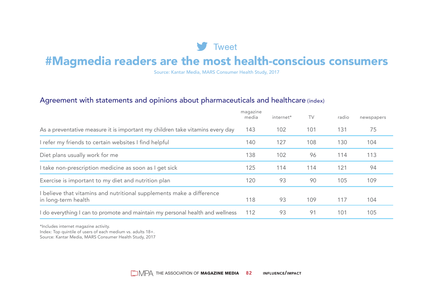### **V** Tweet

## #Magmedia readers are the most health-conscious consumers

Source: Kantar Media, MARS Consumer Health Study, 2017

#### Agreement with statements and opinions about pharmaceuticals and healthcare (index)

|                                                                                              | magazine<br>media | internet* | TV  | radio | newspapers |
|----------------------------------------------------------------------------------------------|-------------------|-----------|-----|-------|------------|
| As a preventative measure it is important my children take vitamins every day                | 143               | 102       | 101 | 131   | 75         |
| I refer my friends to certain websites I find helpful                                        | 140               | 127       | 108 | 130   | 104        |
| Diet plans usually work for me                                                               | 138               | 102       | 96  | 114   | 113        |
| I take non-prescription medicine as soon as I get sick                                       | 125               | 114       | 114 | 121   | 94         |
| Exercise is important to my diet and nutrition plan                                          | 120               | 93        | 90  | 105   | 109        |
| I believe that vitamins and nutritional supplements make a difference<br>in long-term health | 118               | 93        | 109 | 117   | 104        |
| I do everything I can to promote and maintain my personal health and wellness                | 112               | 93        | 91  | 101   | 105        |

\*Includes internet magazine activity.

Index: Top quintile of users of each medium vs. adults 18+.

Source: Kantar Media, MARS Consumer Health Study, 2017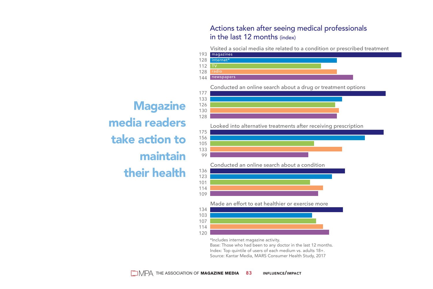#### Actions taken after seeing medical professionals in the last 12 months (index)

Visited a social media site related to a condition or prescribed treatment



Conducted an online search about a drug or treatment options

**Magazine** media readers take action to maintain their health



Conducted an online search about a condition



Made an effort to eat healthier or exercise more



\*Includes internet magazine activity.

Base: Those who had been to any doctor in the last 12 months. Index: Top quintile of users of each medium vs. adults 18+. Source: Kantar Media, MARS Consumer Health Study, 2017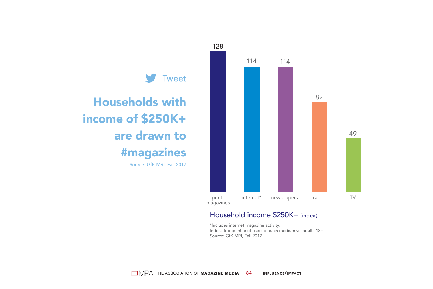

#### Household income \$250K+ (index)

\*Includes internet magazine activity. Index: Top quintile of users of each medium vs. adults 18+. Source: GfK MRI, Fall 2017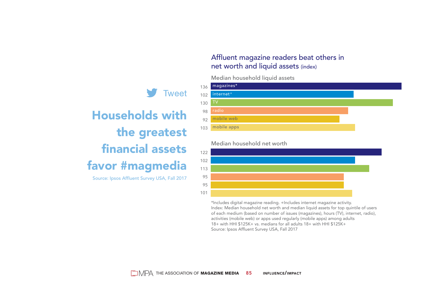#### Affluent magazine readers beat others in net worth and liquid assets (index)

#### Median household liquid assets



#### Median household net worth



\*Includes digital magazine reading. +Includes internet magazine activity. Index: Median household net worth and median liquid assets for top quintile of users of each medium (based on number of issues (magazines), hours (TV), internet, radio), activities (mobile web) or apps used regularly (mobile apps) among adults 18+ with HHI \$125K+ vs. medians for all adults 18+ with HHI \$125K+ Source: Ipsos Affluent Survey USA, Fall 2017





Households with the greatest financial assets favor #magmedia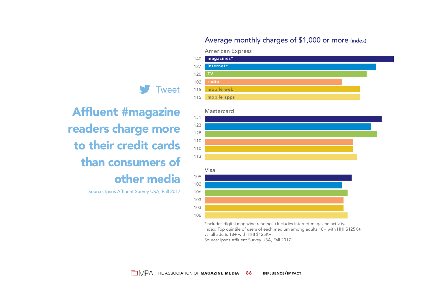#### Average monthly charges of \$1,000 or more (index)

#### American Express



Affluent #magazine readers charge more to their credit cards than consumers of other media

**Tweet** 

Source: Ipsos Affluent Survey USA, Fall 2017



\*Includes digital magazine reading. +Includes internet magazine activity. Index: Top quintile of users of each medium among adults 18+ with HHI \$125K+ vs. all adults 18+ with HHI \$125K+. Source: Ipsos Affluent Survey USA, Fall 2017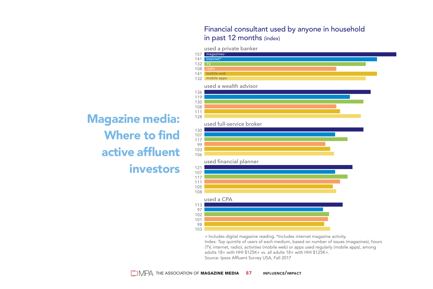#### Financial consultant used by anyone in household in past 12 months (index)



+ Includes digital magazine reading. \*Includes internet magazine activity. Index: Top quintile of users of each medium, based on number of issues (magazines), hours (TV, internet, radio), activities (mobile web) or apps used regularly (mobile apps), among adults 18+ with HHI \$125K+ vs. all adults 18+ with HHI \$125K+. Source: Ipsos Affluent Survey USA, Fall 2017

Magazine media: Where to find active affluent investors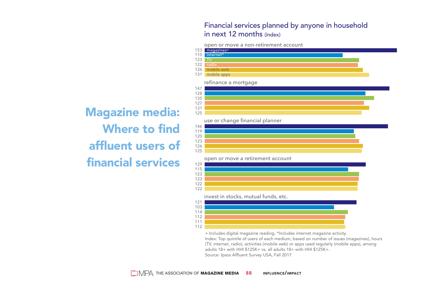#### Financial services planned by anyone in household in next 12 months (index)

open or move a non-retirement account



Magazine media: Where to find affluent users of financial services

| + Includes digital magazine reading. *Includes internet magazine activity.                 |  |
|--------------------------------------------------------------------------------------------|--|
| Index: Top quintile of users of each medium, based on number of issues (magazines), hours  |  |
| (TV, internet, radio), activities (mobile web) or apps used regularly (mobile apps), among |  |
| adults 18+ with HHI \$125K+ vs. all adults 18+ with HHI \$125K+.                           |  |
| Source: Ipsos Affluent Survey USA, Fall 2017                                               |  |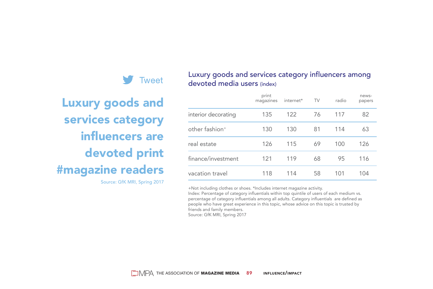

#### Luxury goods and services category influencers among devoted media users (index)

Luxury goods and services category influencers are devoted print #magazine readers Source: GfK MRI, Spring 2017

|                     | print<br>magazines | internet* | TV | radio | news-<br>papers |
|---------------------|--------------------|-----------|----|-------|-----------------|
| interior decorating | 135                | 122       | 76 | 117   | 82              |
| other fashion*      | 130                | 130       | 81 | 114   | 63              |
| real estate         | 126                | 115       | 69 | 100   | 126             |
| finance/investment  | 121                | 119       | 68 | 95    | 116             |
| vacation travel     | 118                | 114       | 58 | 101   | 104             |

+Not including clothes or shoes. \*Includes internet magazine activity.

Index: Percentage of category influentials within top quintile of users of each medium vs. percentage of category influentials among all adults. Category influentials are defined as people who have great experience in this topic, whose advice on this topic is trusted by friends and family members.

Source: GfK MRI, Spring 2017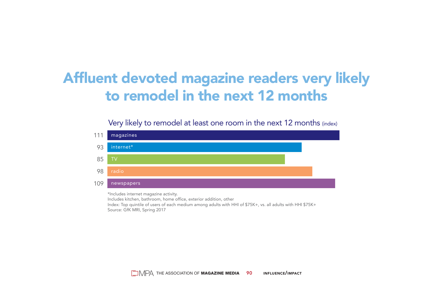## Affluent devoted magazine readers very likely to remodel in the next 12 months

#### Very likely to remodel at least one room in the next 12 months (index)



Index: Top quintile of users of each medium among adults with HHI of \$75K+, vs. all adults with HHI \$75K+ Source: GfK MRI, Spring 2017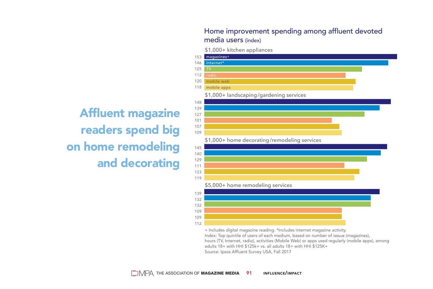#### Home improvement spending among affluent devoted media users (index)

\$1,000+ kitchen appliances



+ Includes digital magazine reading. \*Includes internet magazine activity. Index: Top quintile of users of each medium, based on number of isssue (magazines), hours (TV, Internet, radio), activities (Mobile Web) or apps used regularly (mobile apps), among adults 18+ with HHI \$125k+ vs. all adults 18+ with HHI \$125K+

Source: Ipsos Affluent Survey USA, Fall 2017

Affluent magazine readers spend big on home remodeling and decorating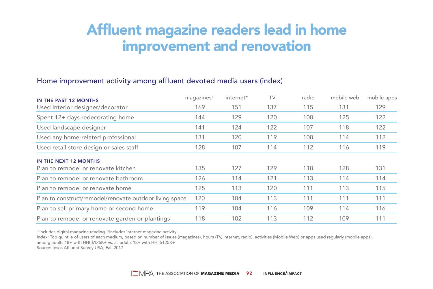## Affluent magazine readers lead in home improvement and renovation

#### Home improvement activity among affluent devoted media users (index)

| IN THE PAST 12 MONTHS                                   | magazines <sup>+</sup> | internet* | TV  | radio | mobile web | mobile apps |
|---------------------------------------------------------|------------------------|-----------|-----|-------|------------|-------------|
| Used interior designer/decorator                        | 169                    | 151       | 137 | 115   | 131        | 129         |
| Spent 12+ days redecorating home                        | 144                    | 129       | 120 | 108   | 125        | 122         |
| Used landscape designer                                 | 141                    | 124       | 122 | 107   | 118        | 122         |
| Used any home-related professional                      | 131                    | 120       | 119 | 108   | 114        | 112         |
| Used retail store design or sales staff                 | 128                    | 107       | 114 | 112   | 116        | 119         |
| IN THE NEXT 12 MONTHS                                   |                        |           |     |       |            |             |
| Plan to remodel or renovate kitchen                     | 135                    | 127       | 129 | 118   | 128        | 131         |
| Plan to remodel or renovate bathroom                    | 126                    | 114       | 121 | 113   | 114        | 114         |
| Plan to remodel or renovate home                        | 125                    | 113       | 120 | 111   | 113        | 115         |
| Plan to construct/remodel/renovate outdoor living space | 120                    | 104       | 113 | 111   | 111        | 111         |
| Plan to sell primary home or second home                | 119                    | 104       | 116 | 109   | 114        | 116         |
| Plan to remodel or renovate garden or plantings         | 118                    | 102       | 113 | 112   | 109        | 111         |

+Includes digital magazine reading. \*Includes internet magazine activity

Index: Top quintile of users of each medium, based on number of issues (magazines), hours (TV, Internet, radio), activities (Mobile Web) or apps used regularly (mobile apps), among adults 18+ with HHI \$125K+ vs. all adults 18+ with HHI \$125K+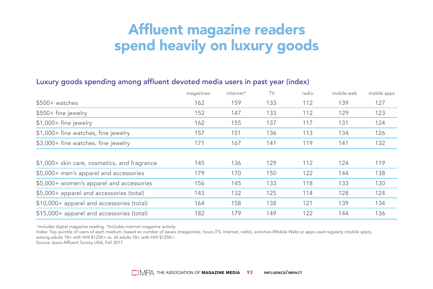## Affluent magazine readers spend heavily on luxury goods

#### Luxury goods spending among affluent devoted media users in past year (index)

|                                              | magazines <sup>+</sup> | internet* | TV  | radio | mobile web | mobile apps |
|----------------------------------------------|------------------------|-----------|-----|-------|------------|-------------|
| $$500+$ watches                              | 162                    | 159       | 133 | 112   | 139        | 127         |
| \$500+ fine jewelry                          | 152                    | 147       | 133 | 112   | 129        | 123         |
| $$1,000+$ fine jewelry                       | 162                    | 155       | 137 | 117   | 131        | 124         |
| \$1,000+ fine watches, fine jewelry          | 157                    | 151       | 136 | 113   | 134        | 126         |
| \$3,000+ fine watches, fine jewelry          | 171                    | 167       | 141 | 119   | 141        | 132         |
| \$1,000+ skin care, cosmetics, and fragrance | 145                    | 136       | 129 | 112   | 124        | 119         |
| \$5,000+ men's apparel and accessories       | 179                    | 170       | 150 | 122   | 144        | 138         |
| \$5,000+ women's apparel and accessories     | 156                    | 145       | 133 | 118   | 133        | 130         |
| \$5,000+ apparel and accessories (total)     | 143                    | 132       | 125 | 114   | 128        | 124         |
| \$10,000+ apparel and accessories (total)    | 164                    | 158       | 138 | 121   | 139        | 134         |
| \$15,000+ apparel and accessories (total)    | 182                    | 179       | 149 | 122   | 144        | 136         |

+Includes digital magazine reading. \*Includes internet magazine activity

Index: Top quintile of users of each medium, based on number of issues (magazines), hours (TV, Internet, radio), activities (Mobile Web) or apps used regularly (mobile apps), among adults 18+ with HHI \$125K+ vs. all adults 18+ with HHI \$125K+

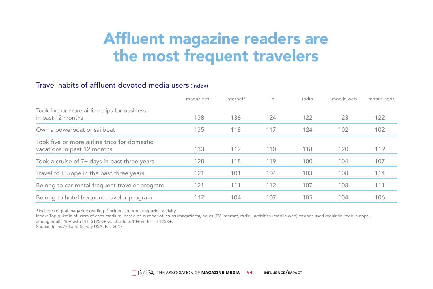## Affluent magazine readers are the most frequent travelers

#### Travel habits of affluent devoted media users (index)

|                                                                             | magazines <sup>+</sup> | internet* | TV  | radio | mobile web | mobile apps |
|-----------------------------------------------------------------------------|------------------------|-----------|-----|-------|------------|-------------|
| Took five or more airline trips for business<br>in past 12 months           | 138                    | 136       | 124 | 122   | 123        | 122         |
| Own a powerboat or sailboat                                                 | 135                    | 118       | 117 | 124   | 102        | 102         |
| Took five or more airline trips for domestic<br>vacations in past 12 months | 133                    | 112       | 110 | 118   | 120        | 119         |
| Took a cruise of 7+ days in past three years                                | 128                    | 118       | 119 | 100   | 104        | 107         |
| Travel to Europe in the past three years                                    | 121                    | 101       | 104 | 103   | 108        | 114         |
| Belong to car rental frequent traveler program                              | 121                    | 111       | 112 | 107   | 108        | 111         |
| Belong to hotel frequent traveler program                                   | 112                    | 104       | 107 | 105   | 104        | 106         |

+Includes digital magazine reading. \*Includes internet magazine activity

Index: Top quintile of users of each medium, based on number of issues (magazines), hours (TV, internet, radio), activities (mobile web) or apps used regularly (mobile apps), among adults 18+ with HHI \$125K+ vs. all adults 18+ with HHI 125K+.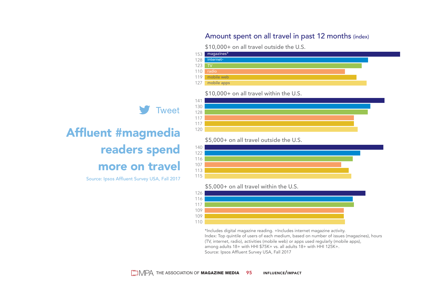#### Amount spent on all travel in past 12 months (index)

\$10,000+ on all travel outside the U.S.



#### \$10,000+ on all travel within the U.S.



\$5,000+ on all travel outside the U.S.



\$5,000+ on all travel within the U.S.



\*Includes digital magazine reading. +Includes internet magazine activity. Index: Top quintile of users of each medium, based on number of issues (magazines), hours (TV, internet, radio), activities (mobile web) or apps used regularly (mobile apps), among adults 18+ with HHI \$75K+ vs. all adults 18+ with HHI 125K+. Source: Ipsos Affluent Survey USA, Fall 2017

## Affluent #magmedia readers spend more on travel Source: Ipsos Affluent Survey USA, Fall 2017

**Tweet**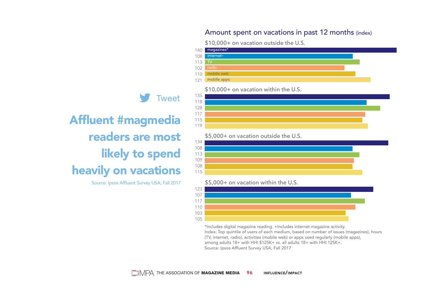#### Amount spent on vacations in past 12 months (index)

\$10,000+ on vacation outside the U.S.



#### \$10,000+ on vacation within the U.S.



\$5,000+ on vacation outside the U.S.

#### 134 108 113 109 108 115

\$5,000+ on vacation within the U.S.



\*Includes digital magazine reading. +Includes internet magazine activity. Index: Top quintile of users of each medium, based on number of issues (magazines), hours (TV, internet, radio), activities (mobile web) or apps used regularly (mobile apps), among adults 18+ with HHI \$125K+ vs. all adults 18+ with HHI 125K+. Source: Ipsos Affluent Survey USA, Fall 2017

## Affluent #magmedia readers are most likely to spend heavily on vacations

Source: Ipsos Affluent Survey USA, Fall 2017

**Tweet**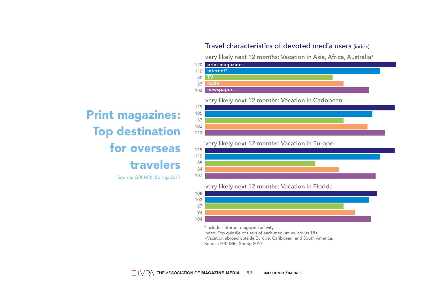#### Travel characteristics of devoted media users (index)

very likely next 12 months: Vacation in Asia, Africa, Australia+



Print magazines: Top destination for overseas travelers Source: GfK MRI, Spring 2017

119 105 87 102 113 very likely next 12 months: Vacation in Caribbean

very likely next 12 months: Vacation in Europe



very likely next 12 months: Vacation in Florida



\*Includes internet magazine activity.

Index: Top quintile of users of each medium vs. adults 18+.

+Vacation abroad outside Europe, Caribbean, and South America.

Source: GfK MRI, Spring 2017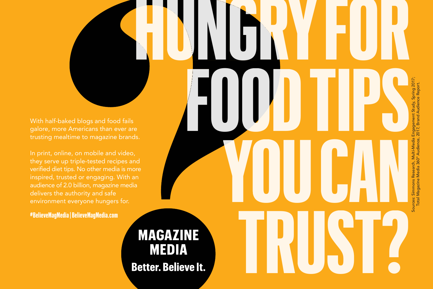In print, online, on mobile and video, inspired, trusted or engaging. With an audience of 2.0 billion, magazine media

**MEDIA** 

**#BelieveMagMedia | BelieveMagMedia.com**

# **HUNGRYFOR FOODTIPS** Sources: Simmons Research, Multi-Media Engagement Study, Spring 2017; **YOUCAN** iources: Simmons Re<br>Total Magazine M **TRUST? MAGAZINE Better. Believe It.**

Total Magazine Media 360° Audience, 2017, Brand Audience Report.

ng 201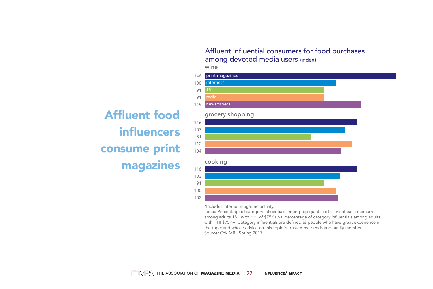#### Affluent influential consumers for food purchases among devoted media users (index)

Affluent food influencers consume print magazines



\*Includes internet magazine activity.

Index: Percentage of category influentials among top quintile of users of each medium among adults 18+ with HHI of \$75K+ vs. percentage of category influentials among adults with HHI \$75K+. Category influentials are defined as people who have great experience in the topic and whose advice on this topic is trusted by friends and family members. Source: GfK MRI, Spring 2017

wine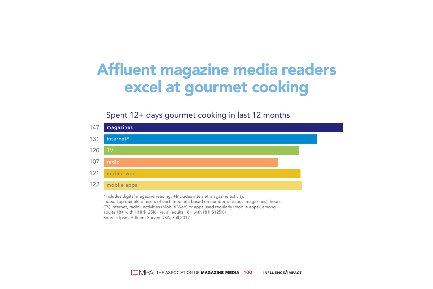## Affluent magazine media readers excel at gourmet cooking

#### Spent 12+ days gourmet cooking in last 12 months



(TV, Internet, radio), activities (Mobile Web) or apps used regularly (mobile apps), among adults 18+ with HHI \$125K+ vs. all adults 18+ with HHI \$125K+ Source: Ipsos Affluent Survey USA, Fall 2017

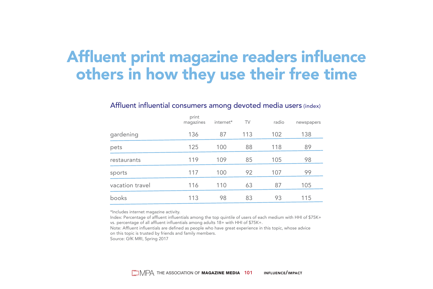## Affluent print magazine readers influence others in how they use their free time

#### Affluent influential consumers among devoted media users (index)

|                 | print<br>magazines | internet* | TV  | radio | newspapers |
|-----------------|--------------------|-----------|-----|-------|------------|
| gardening       | 136                | 87        | 113 | 102   | 138        |
| pets            | 125                | 100       | 88  | 118   | 89         |
| restaurants     | 119                | 109       | 85  | 105   | 98         |
| sports          | 117                | 100       | 92  | 107   | 99         |
| vacation travel | 116                | 110       | 63  | 87    | 105        |
| books           | 113                | 98        | 83  | 93    | 115        |

\*Includes internet magazine activity.

Index: Percentage of affluent influentials among the top quintile of users of each medium with HHI of \$75K+ vs. percentage of all affluent influentials among adults 18+ with HHI of \$75K+.

Note: Affluent influentials are defined as people who have great experience in this topic, whose advice on this topic is trusted by friends and family members. Source: GfK MRI, Spring 2017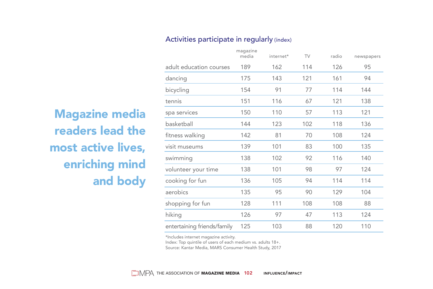#### Activities participate in regularly (index)

|                             | magazine<br>media | internet* | TV  | radio | newspapers |
|-----------------------------|-------------------|-----------|-----|-------|------------|
| adult education courses     | 189               | 162       | 114 | 126   | 95         |
| dancing                     | 175               | 143       | 121 | 161   | 94         |
| bicycling                   | 154               | 91        | 77  | 114   | 144        |
| tennis                      | 151               | 116       | 67  | 121   | 138        |
| spa services                | 150               | 110       | 57  | 113   | 121        |
| basketball                  | 144               | 123       | 102 | 118   | 136        |
| fitness walking             | 142               | 81        | 70  | 108   | 124        |
| visit museums               | 139               | 101       | 83  | 100   | 135        |
| swimming                    | 138               | 102       | 92  | 116   | 140        |
| volunteer your time         | 138               | 101       | 98  | 97    | 124        |
| cooking for fun             | 136               | 105       | 94  | 114   | 114        |
| aerobics                    | 135               | 95        | 90  | 129   | 104        |
| shopping for fun            | 128               | 111       | 108 | 108   | 88         |
| hiking                      | 126               | 97        | 47  | 113   | 124        |
| entertaining friends/family | 125               | 103       | 88  | 120   | 110        |

Magazine media readers lead the most active lives, enriching mind and body

\*Includes internet magazine activity.

Index: Top quintile of users of each medium vs. adults 18+.

Source: Kantar Media, MARS Consumer Health Study, 2017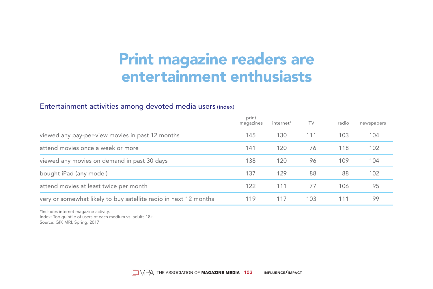## Print magazine readers are entertainment enthusiasts

#### Entertainment activities among devoted media users (index)

|                                                                  | print<br>magazines | internet* | TV  | radio | newspapers |
|------------------------------------------------------------------|--------------------|-----------|-----|-------|------------|
| viewed any pay-per-view movies in past 12 months                 | 145                | 130       | 111 | 103   | 104        |
| attend movies once a week or more                                | 141                | 120       | 76  | 118   | 102        |
| viewed any movies on demand in past 30 days                      | 138                | 120       | 96  | 109   | 104        |
| bought iPad (any model)                                          | 137                | 129       | 88  | 88    | 102        |
| attend movies at least twice per month                           | 122                | 111       | 77  | 106   | 95         |
| very or somewhat likely to buy satellite radio in next 12 months | 119                | 117       | 103 | 111   | 99         |

\*Includes internet magazine activity. Index: Top quintile of users of each medium vs. adults 18+. Source: GfK MRI, Spring, 2017

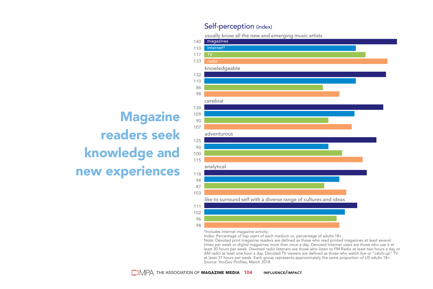#### Self-perception (index)

usually know all the new and emerging music artists



**Magazine** readers seek knowledge and new experiences

\*Includes internet magazine activity.

Index: Percentage of top users of each medium vs. percentage of adults 18+.

Note: Devoted print magazine readers are defined as those who read printed magazines at least several times per week or digital magazines more than once a day. Devoted Internet users are those who use it at least 30 hours per week. Devoted radio listeners are those who listen to FM Radio at least two hours a day or AM radio at least one hour a day. Devoted TV viewers are defined as those who watch live or "catch-up" TV at least 31 hours per week. Each group represents approximately the same proportion of US adults 18+. Source: YouGov Profiles, March 2018

 $\Box$   $\Box$  The association of **Magazine media 104** influence/impact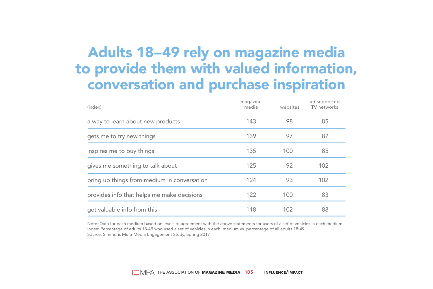## Adults 18–49 rely on magazine media to provide them with valued information, conversation and purchase inspiration

| (index)                                     | magazine<br>media | websites | ad supported<br>TV networks |
|---------------------------------------------|-------------------|----------|-----------------------------|
| a way to learn about new products           | 143               | 98       | 85                          |
| gets me to try new things                   | 139               | 97       | 87                          |
| inspires me to buy things                   | 135               | 100      | 85                          |
| gives me something to talk about            | 125               | 92       | 102                         |
| bring up things from medium in conversation | 124               | 93       | 102                         |
| provides info that helps me make decisions  | 122               | 100      | 83                          |
| get valuable info from this                 | 118               | 102      | 88                          |

Note: Data for each medium based on levels of agreement with the above statements for users of a set of vehicles in each medium. Index: Percentage of adults 18-49 who used a set of vehicles in each medium vs. percentage of all adults 18-49. Source: Simmons Multi-Media Engagement Study, Spring 2017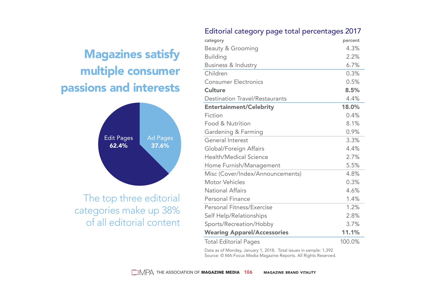#### Editorial category page total percentages 2017

## Magazines satisfy multiple consumer passions and interests



The top three editorial categories make up 38% of all editorial content

| category                              | percent |
|---------------------------------------|---------|
| Beauty & Grooming                     | 4.3%    |
| <b>Building</b>                       | 2.2%    |
| Business & Industry                   | 6.7%    |
| Children                              | 0.3%    |
| <b>Consumer Electronics</b>           | 0.5%    |
| Culture                               | 8.5%    |
| <b>Destination Travel/Restaurants</b> | 4.4%    |
| <b>Entertainment/Celebrity</b>        | 18.0%   |
| Fiction                               | 0.4%    |
| Food & Nutrition                      | 8.1%    |
| Gardening & Farming                   | 0.9%    |
| General Interest                      | 3.3%    |
| Global/Foreign Affairs                | 4.4%    |
| Health/Medical Science                | 2.7%    |
| Home Furnish/Management               | 5.5%    |
| Misc (Cover/Index/Announcements)      | 4.8%    |
| Motor Vehicles                        | 0.3%    |
| National Affairs                      | 4.6%    |
| Personal Finance                      | 1.4%    |
| Personal Fitness/Exercise             | 1.2%    |
| Self Help/Relationships               | 2.8%    |
| Sports/Recreation/Hobby               | 3.7%    |
| <b>Wearing Apparel/Accessories</b>    | 11.1%   |
| <b>Total Editorial Pages</b>          | 100.0%  |
|                                       |         |

Data as of Monday, January 1, 2018. Total issues in sample: 1,392 Source: © MA-Focus Media Magazine Reports. All Rights Reserved.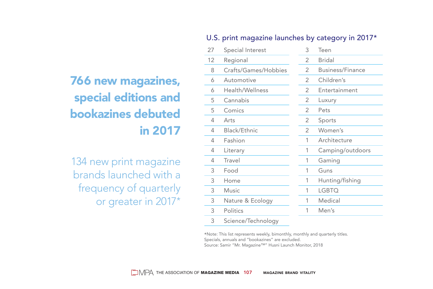#### U.S. print magazine launches by category in 2017\*

| <b>766 new magazines,</b> |
|---------------------------|
| special editions and      |
| bookazines debuted        |
| in 2017                   |

134 new print magazine brands launched with a frequency of quarterly or greater in 2017\*

| 27 | Special Interest     | 3              | Teen                    |
|----|----------------------|----------------|-------------------------|
| 12 | Regional             | $\overline{2}$ | <b>Bridal</b>           |
| 8  | Crafts/Games/Hobbies | 2              | <b>Business/Finance</b> |
| 6  | Automotive           | 2              | Children's              |
| 6  | Health/Wellness      | 2              | Entertainment           |
| 5  | Cannabis             | 2              | Luxury                  |
| 5  | Comics               | 2              | Pets                    |
| 4  | Arts                 | 2              | Sports                  |
| 4  | Black/Ethnic         | 2              | Women's                 |
| 4  | Fashion              | 1              | Architecture            |
| 4  | Literary             | 1              | Camping/outdoors        |
| 4  | Travel               | 1              | Gaming                  |
| 3  | Food                 | 1              | Guns                    |
| 3  | Home                 | 1              | Hunting/fishing         |
| 3  | <b>Music</b>         | 1              | <b>LGBTQ</b>            |
| 3  | Nature & Ecology     | 1              | Medical                 |
| 3  | Politics             | 1              | Men's                   |
| 3  | Science/Technology   |                |                         |

\*Note: This list represents weekly, bimonthly, monthly and quarterly titles. Specials, annuals and "bookazines" are excluded. Source: Samir "Mr. Magazine™" Husni Launch Monitor, 2018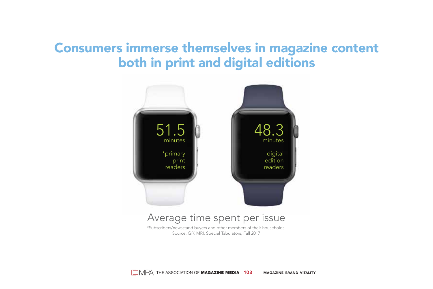#### Consumers immerse themselves in magazine content both in print and digital editions



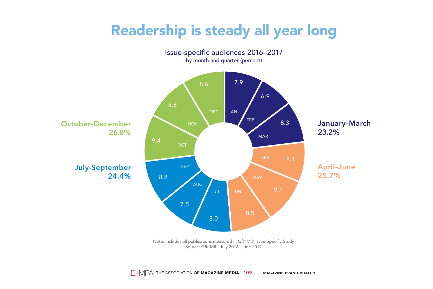## Readership is steady all year long



Source: GfK MRI, July 2016–June 2017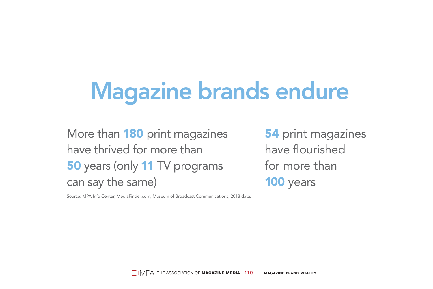# Magazine brands endure

More than 180 print magazines have thrived for more than 50 years (only 11 TV programs can say the same)

Source: MPA Info Center, MediaFinder.com, Museum of Broadcast Communications, 2018 data.

**54** print magazines have flourished for more than 100 years

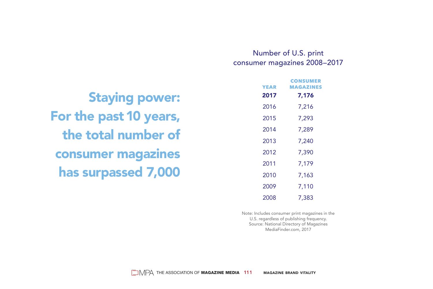#### Number of U.S. print consumer magazines 2008–2017

 **CONSUMER**

|                           | <b>YEAR</b> | LUNJUMER<br><b>MAGAZINES</b> |
|---------------------------|-------------|------------------------------|
| <b>Staying power:</b>     | 2017        | 7,176                        |
|                           | 2016        | 7,216                        |
| For the past 10 years,    | 2015        | 7,293                        |
| the total number of       | 2014        | 7,289                        |
|                           | 2013        | 7,240                        |
| <b>consumer magazines</b> | 2012        | 7,390                        |
|                           | 2011        | 7,179                        |
| has surpassed 7,000       | 2010        | 7,163                        |
|                           | 2009        | 7.110                        |
|                           |             |                              |

Note: Includes consumer print magazines in the U.S. regardless of publishing frequency. Source: National Directory of Magazines MediaFinder.com, 2017

2008 7,383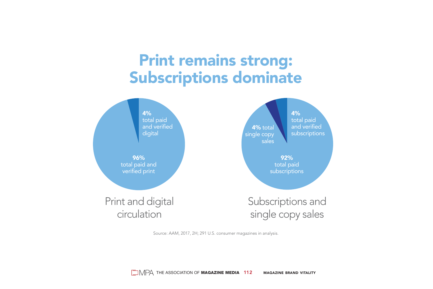## Print remains strong: Subscriptions dominate



Source: AAM, 2017, 2H; 291 U.S. consumer magazines in analysis.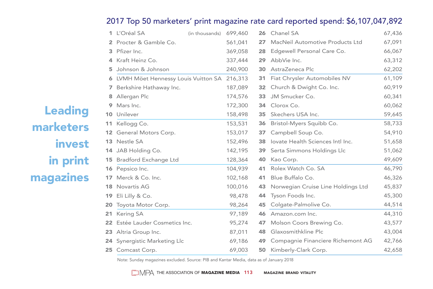#### 2017 Top 50 marketers' print magazine rate card reported spend: \$6,107,047,892

|   | 1 L'Oréal SA                          | (in thousands) 699,460 |         |     | 26 Chanel SA                          | 67,436 |
|---|---------------------------------------|------------------------|---------|-----|---------------------------------------|--------|
|   | Procter & Gamble Co.                  |                        | 561,041 | 27  | MacNeil Automotive Products Ltd       | 67,091 |
|   | 3 Pfizer Inc.                         |                        | 369,058 | 28  | Edgewell Personal Care Co.            | 66,067 |
|   | Kraft Heinz Co.                       |                        | 337,444 | 29  | AbbVie Inc.                           | 63,312 |
| 5 | Johnson & Johnson                     |                        | 240,900 | 30  | AstraZeneca Plc                       | 62,202 |
|   | 6 LVMH Möet Hennessy Louis Vuitton SA |                        | 216,313 |     | 31 Fiat Chrysler Automobiles NV       | 61,109 |
| 7 | Berkshire Hathaway Inc.               |                        | 187,089 | 32  | Church & Dwight Co. Inc.              | 60,919 |
|   | Allergan Plc                          |                        | 174,576 | 33  | JM Smucker Co.                        | 60,341 |
|   | Mars Inc.                             |                        | 172,300 |     | 34 Clorox Co.                         | 60,062 |
|   | 10 Unilever                           |                        | 158,498 | 35  | Skechers USA Inc.                     | 59,645 |
|   | 11 Kellogg Co.                        |                        | 153,531 |     | <b>36</b> Bristol-Myers Squibb Co.    | 58,733 |
|   | 12 General Motors Corp.               |                        | 153,017 | 37  | Campbell Soup Co.                     | 54,910 |
|   | 13 Nestle SA                          |                        | 152,496 | 38  | lovate Health Sciences Intl Inc.      | 51,658 |
|   | 14 JAB Holding Co.                    |                        | 142,195 | 39  | Serta Simmons Holdings Llc            | 51,062 |
|   | <b>15</b> Bradford Exchange Ltd       |                        | 128,364 | 40  | Kao Corp.                             | 49,609 |
|   | 16 Pepsico Inc.                       |                        | 104,939 |     | 41 Rolex Watch Co. SA                 | 46,790 |
|   | 17 Merck & Co. Inc.                   |                        | 102,168 | 41  | Blue Buffalo Co.                      | 46,326 |
|   | <b>18</b> Novartis AG                 |                        | 100,016 |     | 43 Norwegian Cruise Line Holdings Ltd | 45,837 |
|   | 19 Eli Lilly & Co.                    |                        | 98,478  | 44  | Tyson Foods Inc.                      | 45,300 |
|   | 20 Toyota Motor Corp.                 |                        | 98,264  | 45  | Colgate-Palmolive Co.                 | 44,514 |
|   | 21 Kering SA                          |                        | 97,189  |     | 46 Amazon.com Inc.                    | 44,310 |
|   | 22 Estée Lauder Cosmetics Inc.        |                        | 95,274  | 47  | Molson Coors Brewing Co.              | 43,577 |
|   | 23 Altria Group Inc.                  |                        | 87,011  | 48  | Glaxosmithkline Plc                   | 43,004 |
|   | 24 Synergistic Marketing Llc          |                        | 69,186  | 49. | Compagnie Financiere Richemont AG     | 42,766 |
|   | 25 Comcast Corp.                      |                        | 69,003  | 50  | Kimberly-Clark Corp.                  | 42,658 |

Note: Sunday magazines excluded. Source: PIB and Kantar Media, data as of January 2018

## Leading marketers invest in print magazines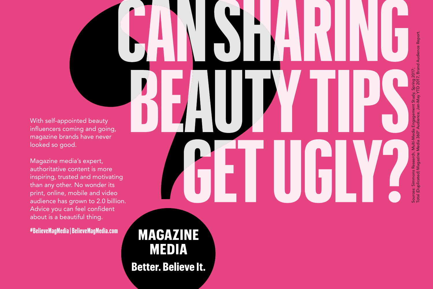With self-appointed beauty influencers coming and going, magazine brands have never looked so good.

Magazine media's expert, authoritative content is more inspiring, trusted and motivating than any other. No wonder its print, online, mobile and video audience has grown to 2.0 billion. Advice you can feel confident about is a beautiful thing.

**#BelieveMagMedia | BelieveMagMedia.com**

**MAGAZINE MEDIA Better. Believe It.**  Sources: Simmons Research, Multi-Media Engagement Study, Spring 2017; Total (Duplicated) Magazine Media 360° Audience, Jan-May YTD 2017, Brand Audience Report.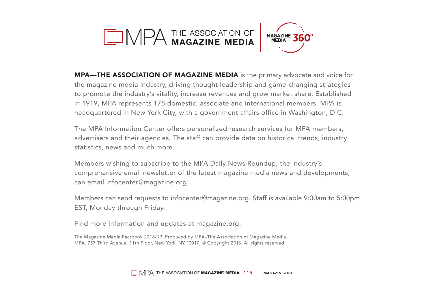



MPA—THE ASSOCIATION OF MAGAZINE MEDIA is the primary advocate and voice for the magazine media industry, driving thought leadership and game-changing strategies to promote the industry's vitality, increase revenues and grow market share. Established in 1919, MPA represents 175 domestic, associate and international members. MPA is headquartered in New York City, with a government affairs office in Washington, D.C.

The MPA Information Center offers personalized research services for MPA members, advertisers and their agencies. The staff can provide data on historical trends, industry statistics, news and much more.

Members wishing to subscribe to the MPA Daily News Roundup, the industry's comprehensive email newsletter of the latest magazine media news and developments, can email infocenter@magazine.org.

Members can send requests to infocenter@magazine.org. Staff is available 9:00am to 5:00pm EST, Monday through Friday.

Find more information and updates at magazine.org.

The Magazine Media Factbook 2018/19. Produced by MPA–The Association of Magazine Media. MPA, 757 Third Avenue, 11th Floor, New York, NY 10017. © Copyright 2018. All rights reserved.

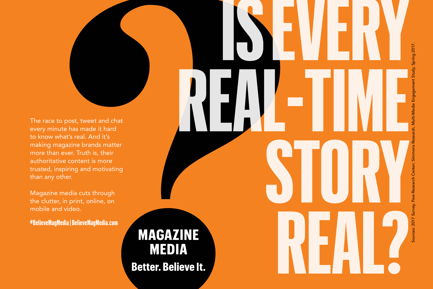The race to post, tweet and chat every minute has made it hard to know what's real. And it's making magazine brands matter more than ever. Truth is, their authoritative content is more trusted, inspiring and motivating than any other.

Magazine media cuts through the clutter, in print, online, on mobile and video.

**#BelieveMagMedia | BelieveMagMedia.com**

# **MAGAZINE MEDIA Better. Believe It.**

study, Spring 2017. Sources: 2017 Survey, Pew Research Center; Simmons Research, Multi-Media Engagement Study, Spring 2017.Research Center; Simmo purces: 2017 Sur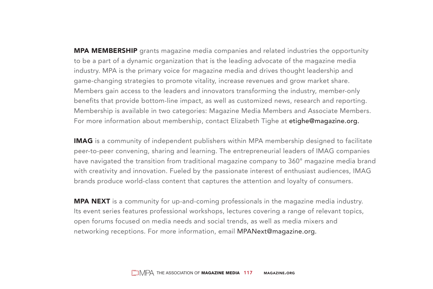**MPA MEMBERSHIP** grants magazine media companies and related industries the opportunity to be a part of a dynamic organization that is the leading advocate of the magazine media industry. MPA is the primary voice for magazine media and drives thought leadership and game-changing strategies to promote vitality, increase revenues and grow market share. Members gain access to the leaders and innovators transforming the industry, member-only benefits that provide bottom-line impact, as well as customized news, research and reporting. Membership is available in two categories: Magazine Media Members and Associate Members. For more information about membership, contact Elizabeth Tighe at etighe@magazine.org.

IMAG is a community of independent publishers within MPA membership designed to facilitate peer-to-peer convening, sharing and learning. The entrepreneurial leaders of IMAG companies have navigated the transition from traditional magazine company to 360° magazine media brand with creativity and innovation. Fueled by the passionate interest of enthusiast audiences, IMAG brands produce world-class content that captures the attention and loyalty of consumers.

**MPA NEXT** is a community for up-and-coming professionals in the magazine media industry. Its event series features professional workshops, lectures covering a range of relevant topics, open forums focused on media needs and social trends, as well as media mixers and networking receptions. For more information, email MPANext@magazine.org.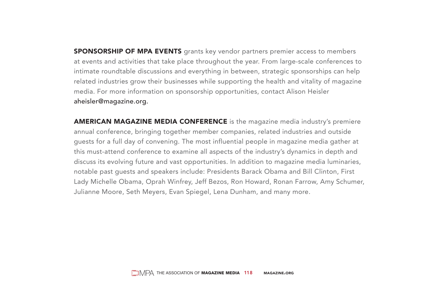**SPONSORSHIP OF MPA EVENTS** grants key vendor partners premier access to members at events and activities that take place throughout the year. From large-scale conferences to intimate roundtable discussions and everything in between, strategic sponsorships can help related industries grow their businesses while supporting the health and vitality of magazine media. For more information on sponsorship opportunities, contact Alison Heisler aheisler@magazine.org.

**AMERICAN MAGAZINE MEDIA CONFERENCE** is the magazine media industry's premiere annual conference, bringing together member companies, related industries and outside guests for a full day of convening. The most influential people in magazine media gather at this must-attend conference to examine all aspects of the industry's dynamics in depth and discuss its evolving future and vast opportunities. In addition to magazine media luminaries, notable past guests and speakers include: Presidents Barack Obama and Bill Clinton, First Lady Michelle Obama, Oprah Winfrey, Jeff Bezos, Ron Howard, Ronan Farrow, Amy Schumer, Julianne Moore, Seth Meyers, Evan Spiegel, Lena Dunham, and many more.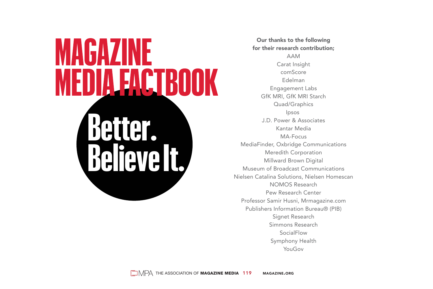# **Better. Believe It.**

Our thanks to the following for their research contribution AAM Carat Insight comScore Edelman Engagement Labs GfK MRI, GfK MRI Starch Quad/Graphics Ipsos J.D. Power & Associates Kantar Media MA-Focus MediaFinder, Oxbridge Communications Meredith Corporation Millward Brown Digital Museum of Broadcast Communications Nielsen Catalina Solutions, Nielsen Homescan NOMOS Research Pew Research Center Professor Samir Husni, Mrmagazine.com Publishers Information Bureau® (PIB) Signet Research Simmons Research SocialFlow Symphony Health YouGov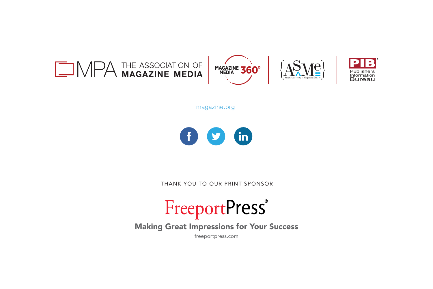

magazine.org



THANK YOU TO OUR PRINT SPONSOR

# FreeportPress®

Making Great Impressions for Your Success

freeportpress.com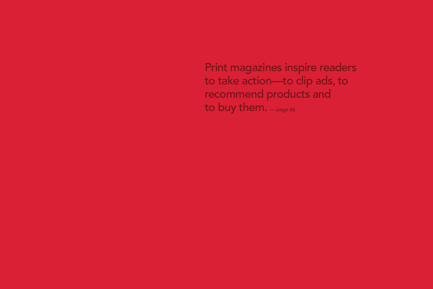Print magazines inspire readers to take action—to clip ads, to recommend products and to buy them. *— page 66*